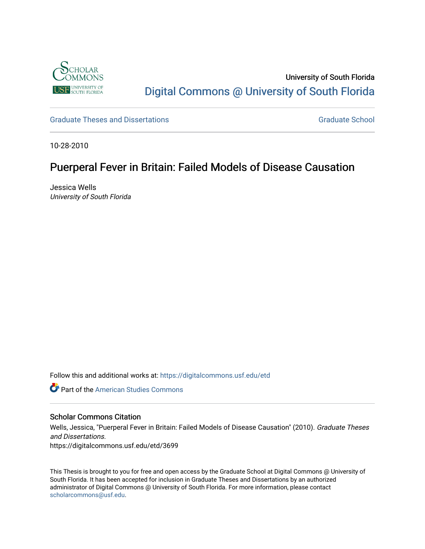

## University of South Florida [Digital Commons @ University of South Florida](https://digitalcommons.usf.edu/)

[Graduate Theses and Dissertations](https://digitalcommons.usf.edu/etd) [Graduate School](https://digitalcommons.usf.edu/grad) Craduate School Craduate School

10-28-2010

# Puerperal Fever in Britain: Failed Models of Disease Causation

Jessica Wells University of South Florida

Follow this and additional works at: [https://digitalcommons.usf.edu/etd](https://digitalcommons.usf.edu/etd?utm_source=digitalcommons.usf.edu%2Fetd%2F3699&utm_medium=PDF&utm_campaign=PDFCoverPages) 

**C** Part of the [American Studies Commons](http://network.bepress.com/hgg/discipline/439?utm_source=digitalcommons.usf.edu%2Fetd%2F3699&utm_medium=PDF&utm_campaign=PDFCoverPages)

#### Scholar Commons Citation

Wells, Jessica, "Puerperal Fever in Britain: Failed Models of Disease Causation" (2010). Graduate Theses and Dissertations. https://digitalcommons.usf.edu/etd/3699

This Thesis is brought to you for free and open access by the Graduate School at Digital Commons @ University of South Florida. It has been accepted for inclusion in Graduate Theses and Dissertations by an authorized administrator of Digital Commons @ University of South Florida. For more information, please contact [scholarcommons@usf.edu.](mailto:scholarcommons@usf.edu)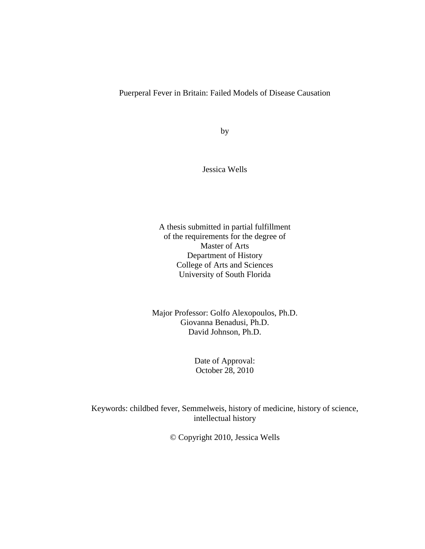## Puerperal Fever in Britain: Failed Models of Disease Causation

by

Jessica Wells

A thesis submitted in partial fulfillment of the requirements for the degree of Master of Arts Department of History College of Arts and Sciences University of South Florida

Major Professor: Golfo Alexopoulos, Ph.D. Giovanna Benadusi, Ph.D. David Johnson, Ph.D.

> Date of Approval: October 28, 2010

Keywords: childbed fever, Semmelweis, history of medicine, history of science, intellectual history

© Copyright 2010, Jessica Wells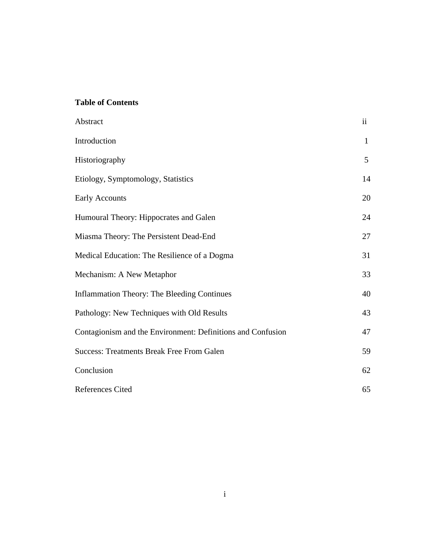## **Table of Contents**

| Abstract                                                    | $\ddot{\rm ii}$ |
|-------------------------------------------------------------|-----------------|
| Introduction                                                | $\mathbf{1}$    |
| Historiography                                              | 5               |
| Etiology, Symptomology, Statistics                          | 14              |
| <b>Early Accounts</b>                                       | 20              |
| Humoural Theory: Hippocrates and Galen                      | 24              |
| Miasma Theory: The Persistent Dead-End                      | 27              |
| Medical Education: The Resilience of a Dogma                | 31              |
| Mechanism: A New Metaphor                                   | 33              |
| <b>Inflammation Theory: The Bleeding Continues</b>          | 40              |
| Pathology: New Techniques with Old Results                  | 43              |
| Contagionism and the Environment: Definitions and Confusion | 47              |
| <b>Success: Treatments Break Free From Galen</b>            | 59              |
| Conclusion                                                  | 62              |
| <b>References Cited</b>                                     | 65              |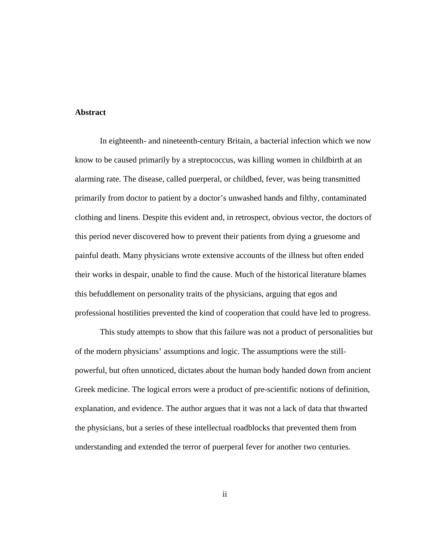#### **Abstract**

In eighteenth- and nineteenth-century Britain, a bacterial infection which we now know to be caused primarily by a streptococcus, was killing women in childbirth at an alarming rate. The disease, called puerperal, or childbed, fever, was being transmitted primarily from doctor to patient by a doctor's unwashed hands and filthy, contaminated clothing and linens. Despite this evident and, in retrospect, obvious vector, the doctors of this period never discovered how to prevent their patients from dying a gruesome and painful death. Many physicians wrote extensive accounts of the illness but often ended their works in despair, unable to find the cause. Much of the historical literature blames this befuddlement on personality traits of the physicians, arguing that egos and professional hostilities prevented the kind of cooperation that could have led to progress.

This study attempts to show that this failure was not a product of personalities but of the modern physicians' assumptions and logic. The assumptions were the stillpowerful, but often unnoticed, dictates about the human body handed down from ancient Greek medicine. The logical errors were a product of pre-scientific notions of definition, explanation, and evidence. The author argues that it was not a lack of data that thwarted the physicians, but a series of these intellectual roadblocks that prevented them from understanding and extended the terror of puerperal fever for another two centuries.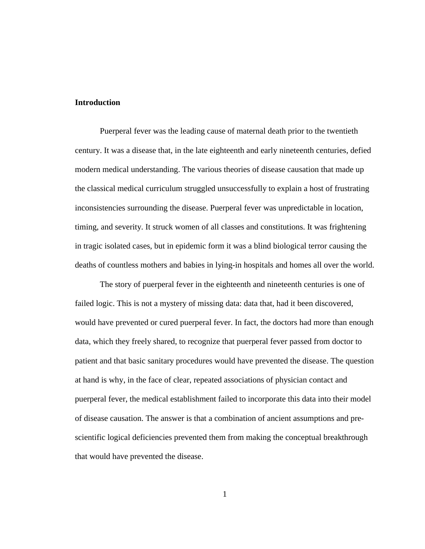#### **Introduction**

Puerperal fever was the leading cause of maternal death prior to the twentieth century. It was a disease that, in the late eighteenth and early nineteenth centuries, defied modern medical understanding. The various theories of disease causation that made up the classical medical curriculum struggled unsuccessfully to explain a host of frustrating inconsistencies surrounding the disease. Puerperal fever was unpredictable in location, timing, and severity. It struck women of all classes and constitutions. It was frightening in tragic isolated cases, but in epidemic form it was a blind biological terror causing the deaths of countless mothers and babies in lying-in hospitals and homes all over the world.

The story of puerperal fever in the eighteenth and nineteenth centuries is one of failed logic. This is not a mystery of missing data: data that, had it been discovered, would have prevented or cured puerperal fever. In fact, the doctors had more than enough data, which they freely shared, to recognize that puerperal fever passed from doctor to patient and that basic sanitary procedures would have prevented the disease. The question at hand is why, in the face of clear, repeated associations of physician contact and puerperal fever, the medical establishment failed to incorporate this data into their model of disease causation. The answer is that a combination of ancient assumptions and prescientific logical deficiencies prevented them from making the conceptual breakthrough that would have prevented the disease.

1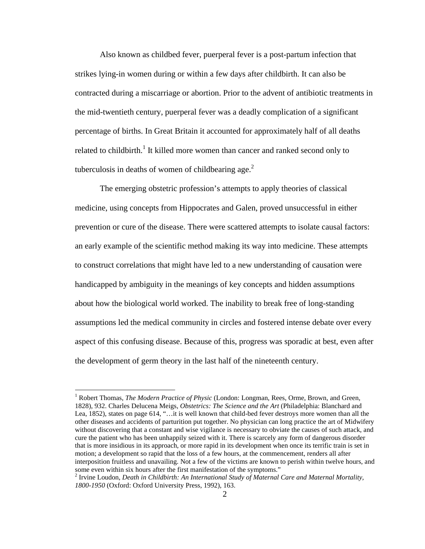Also known as childbed fever, puerperal fever is a post-partum infection that strikes lying-in women during or within a few days after childbirth. It can also be contracted during a miscarriage or abortion. Prior to the advent of antibiotic treatments in the mid-twentieth century, puerperal fever was a deadly complication of a significant percentage of births. In Great Britain it accounted for approximately half of all deaths related to childbirth.<sup>1</sup> It killed more women than cancer and ranked second only to tuberculosis in deaths of women of childbearing age. $<sup>2</sup>$ </sup>

The emerging obstetric profession's attempts to apply theories of classical medicine, using concepts from Hippocrates and Galen, proved unsuccessful in either prevention or cure of the disease. There were scattered attempts to isolate causal factors: an early example of the scientific method making its way into medicine. These attempts to construct correlations that might have led to a new understanding of causation were handicapped by ambiguity in the meanings of key concepts and hidden assumptions about how the biological world worked. The inability to break free of long-standing assumptions led the medical community in circles and fostered intense debate over every aspect of this confusing disease. Because of this, progress was sporadic at best, even after the development of germ theory in the last half of the nineteenth century.

<sup>&</sup>lt;sup>1</sup> Robert Thomas, *The Modern Practice of Physic* (London: Longman, Rees, Orme, Brown, and Green, 1828), 932. Charles Delucena Meigs, *Obstetrics: The Science and the Art* (Philadelphia: Blanchard and Lea, 1852), states on page 614, "…it is well known that child-bed fever destroys more women than all the other diseases and accidents of parturition put together. No physician can long practice the art of Midwifery without discovering that a constant and wise vigilance is necessary to obviate the causes of such attack, and cure the patient who has been unhappily seized with it. There is scarcely any form of dangerous disorder that is more insidious in its approach, or more rapid in its development when once its terrific train is set in motion; a development so rapid that the loss of a few hours, at the commencement, renders all after interposition fruitless and unavailing. Not a few of the victims are known to perish within twelve hours, and some even within six hours after the first manifestation of the symptoms."

<sup>2</sup> Irvine Loudon, *Death in Childbirth: An International Study of Maternal Care and Maternal Mortality, 1800-1950* (Oxford: Oxford University Press, 1992), 163.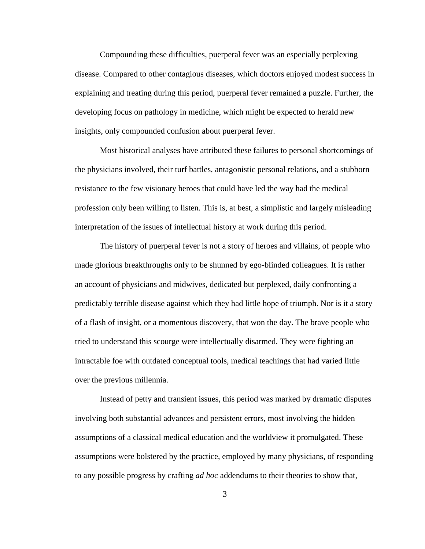Compounding these difficulties, puerperal fever was an especially perplexing disease. Compared to other contagious diseases, which doctors enjoyed modest success in explaining and treating during this period, puerperal fever remained a puzzle. Further, the developing focus on pathology in medicine, which might be expected to herald new insights, only compounded confusion about puerperal fever.

Most historical analyses have attributed these failures to personal shortcomings of the physicians involved, their turf battles, antagonistic personal relations, and a stubborn resistance to the few visionary heroes that could have led the way had the medical profession only been willing to listen. This is, at best, a simplistic and largely misleading interpretation of the issues of intellectual history at work during this period.

The history of puerperal fever is not a story of heroes and villains, of people who made glorious breakthroughs only to be shunned by ego-blinded colleagues. It is rather an account of physicians and midwives, dedicated but perplexed, daily confronting a predictably terrible disease against which they had little hope of triumph. Nor is it a story of a flash of insight, or a momentous discovery, that won the day. The brave people who tried to understand this scourge were intellectually disarmed. They were fighting an intractable foe with outdated conceptual tools, medical teachings that had varied little over the previous millennia.

Instead of petty and transient issues, this period was marked by dramatic disputes involving both substantial advances and persistent errors, most involving the hidden assumptions of a classical medical education and the worldview it promulgated. These assumptions were bolstered by the practice, employed by many physicians, of responding to any possible progress by crafting *ad hoc* addendums to their theories to show that,

3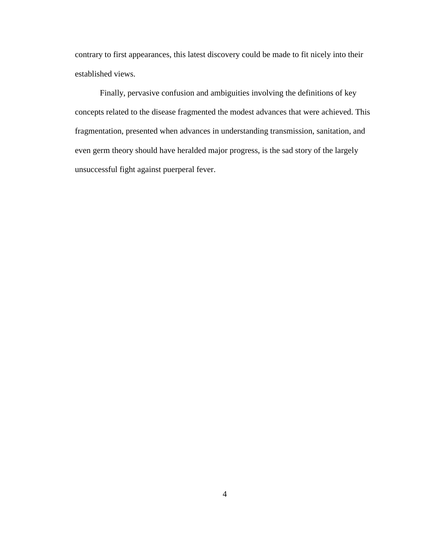contrary to first appearances, this latest discovery could be made to fit nicely into their established views.

Finally, pervasive confusion and ambiguities involving the definitions of key concepts related to the disease fragmented the modest advances that were achieved. This fragmentation, presented when advances in understanding transmission, sanitation, and even germ theory should have heralded major progress, is the sad story of the largely unsuccessful fight against puerperal fever.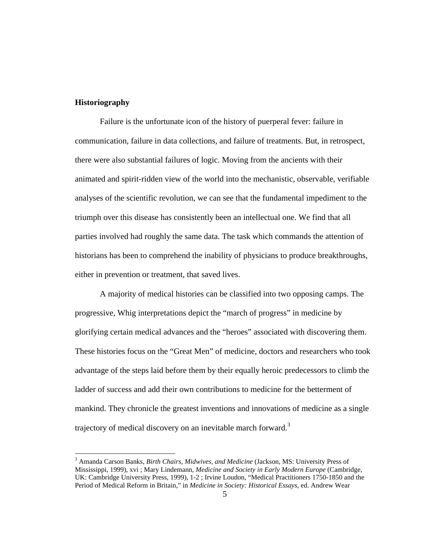#### **Historiography**

Failure is the unfortunate icon of the history of puerperal fever: failure in communication, failure in data collections, and failure of treatments. But, in retrospect, there were also substantial failures of logic. Moving from the ancients with their animated and spirit-ridden view of the world into the mechanistic, observable, verifiable analyses of the scientific revolution, we can see that the fundamental impediment to the triumph over this disease has consistently been an intellectual one. We find that all parties involved had roughly the same data. The task which commands the attention of historians has been to comprehend the inability of physicians to produce breakthroughs, either in prevention or treatment, that saved lives.

A majority of medical histories can be classified into two opposing camps. The progressive, Whig interpretations depict the "march of progress" in medicine by glorifying certain medical advances and the "heroes" associated with discovering them. These histories focus on the "Great Men" of medicine, doctors and researchers who took advantage of the steps laid before them by their equally heroic predecessors to climb the ladder of success and add their own contributions to medicine for the betterment of mankind. They chronicle the greatest inventions and innovations of medicine as a single trajectory of medical discovery on an inevitable march forward.<sup>3</sup>

<sup>3</sup> Amanda Carson Banks, *Birth Chairs, Midwives, and Medicine* (Jackson, MS: University Press of Mississippi, 1999), xvi ; Mary Lindemann, *Medicine and Society in Early Modern Europe* (Cambridge, UK: Cambridge University Press, 1999), 1-2 ; Irvine Loudon, "Medical Practitioners 1750-1850 and the Period of Medical Reform in Britain," in *Medicine in Society: Historical Essays*, ed. Andrew Wear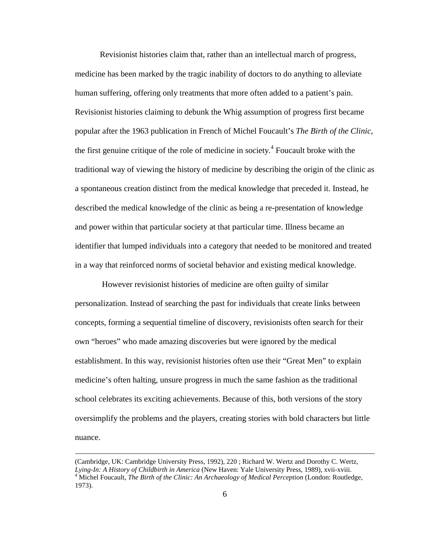Revisionist histories claim that, rather than an intellectual march of progress, medicine has been marked by the tragic inability of doctors to do anything to alleviate human suffering, offering only treatments that more often added to a patient's pain. Revisionist histories claiming to debunk the Whig assumption of progress first became popular after the 1963 publication in French of Michel Foucault's *The Birth of the Clinic*, the first genuine critique of the role of medicine in society. 4 Foucault broke with the traditional way of viewing the history of medicine by describing the origin of the clinic as a spontaneous creation distinct from the medical knowledge that preceded it. Instead, he described the medical knowledge of the clinic as being a re-presentation of knowledge and power within that particular society at that particular time. Illness became an identifier that lumped individuals into a category that needed to be monitored and treated in a way that reinforced norms of societal behavior and existing medical knowledge.

However revisionist histories of medicine are often guilty of similar personalization. Instead of searching the past for individuals that create links between concepts, forming a sequential timeline of discovery, revisionists often search for their own "heroes" who made amazing discoveries but were ignored by the medical establishment. In this way, revisionist histories often use their "Great Men" to explain medicine's often halting, unsure progress in much the same fashion as the traditional school celebrates its exciting achievements. Because of this, both versions of the story oversimplify the problems and the players, creating stories with bold characters but little nuance.

<sup>(</sup>Cambridge, UK: Cambridge University Press, 1992), 220 ; Richard W. Wertz and Dorothy C. Wertz, *Lying-In: A History of Childbirth in America* (New Haven: Yale University Press, 1989), xvii-xviii. <sup>4</sup> Michel Foucault, *The Birth of the Clinic: An Archaeology of Medical Perception* (London: Routledge, 1973).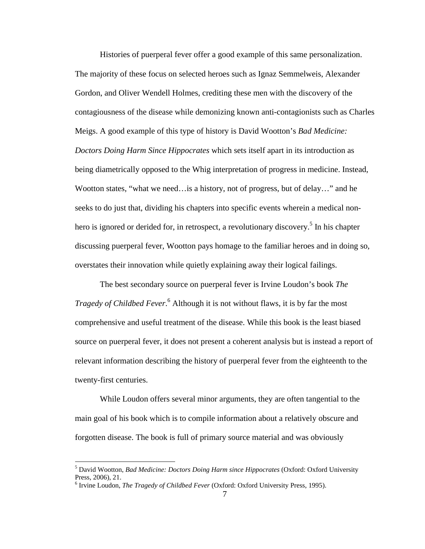Histories of puerperal fever offer a good example of this same personalization. The majority of these focus on selected heroes such as Ignaz Semmelweis, Alexander Gordon, and Oliver Wendell Holmes, crediting these men with the discovery of the contagiousness of the disease while demonizing known anti-contagionists such as Charles Meigs. A good example of this type of history is David Wootton's *Bad Medicine: Doctors Doing Harm Since Hippocrates* which sets itself apart in its introduction as being diametrically opposed to the Whig interpretation of progress in medicine. Instead, Wootton states, "what we need…is a history, not of progress, but of delay…" and he seeks to do just that, dividing his chapters into specific events wherein a medical nonhero is ignored or derided for, in retrospect, a revolutionary discovery.<sup>5</sup> In his chapter discussing puerperal fever, Wootton pays homage to the familiar heroes and in doing so, overstates their innovation while quietly explaining away their logical failings.

The best secondary source on puerperal fever is Irvine Loudon's book *The Tragedy of Childbed Fever*. <sup>6</sup> Although it is not without flaws, it is by far the most comprehensive and useful treatment of the disease. While this book is the least biased source on puerperal fever, it does not present a coherent analysis but is instead a report of relevant information describing the history of puerperal fever from the eighteenth to the twenty-first centuries.

While Loudon offers several minor arguments, they are often tangential to the main goal of his book which is to compile information about a relatively obscure and forgotten disease. The book is full of primary source material and was obviously

<sup>5</sup> David Wootton, *Bad Medicine: Doctors Doing Harm since Hippocrates* (Oxford: Oxford University Press, 2006), 21.

<sup>6</sup> Irvine Loudon, *The Tragedy of Childbed Fever* (Oxford: Oxford University Press, 1995).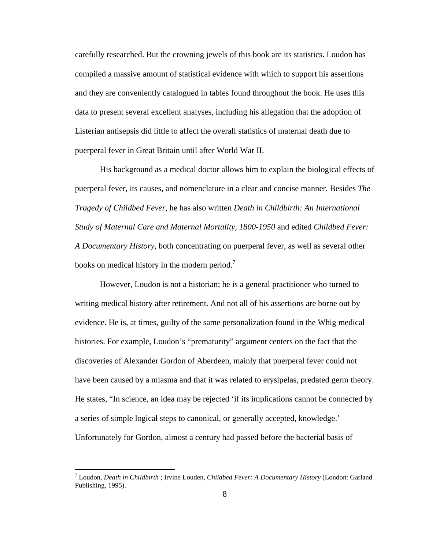carefully researched. But the crowning jewels of this book are its statistics. Loudon has compiled a massive amount of statistical evidence with which to support his assertions and they are conveniently catalogued in tables found throughout the book. He uses this data to present several excellent analyses, including his allegation that the adoption of Listerian antisepsis did little to affect the overall statistics of maternal death due to puerperal fever in Great Britain until after World War II.

His background as a medical doctor allows him to explain the biological effects of puerperal fever, its causes, and nomenclature in a clear and concise manner. Besides *The Tragedy of Childbed Fever*, he has also written *Death in Childbirth: An International Study of Maternal Care and Maternal Mortality, 1800-1950* and edited *Childbed Fever: A Documentary History*, both concentrating on puerperal fever, as well as several other books on medical history in the modern period.<sup>7</sup>

However, Loudon is not a historian; he is a general practitioner who turned to writing medical history after retirement. And not all of his assertions are borne out by evidence. He is, at times, guilty of the same personalization found in the Whig medical histories. For example, Loudon's "prematurity" argument centers on the fact that the discoveries of Alexander Gordon of Aberdeen, mainly that puerperal fever could not have been caused by a miasma and that it was related to erysipelas, predated germ theory. He states, "In science, an idea may be rejected 'if its implications cannot be connected by a series of simple logical steps to canonical, or generally accepted, knowledge.' Unfortunately for Gordon, almost a century had passed before the bacterial basis of

<sup>7</sup> Loudon, *Death in Childbirth* ; Irvine Louden*, Childbed Fever: A Documentary History* (London: Garland Publishing, 1995).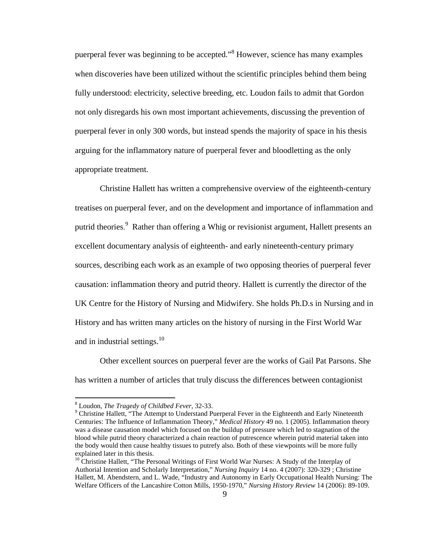puerperal fever was beginning to be accepted."<sup>8</sup> However, science has many examples when discoveries have been utilized without the scientific principles behind them being fully understood: electricity, selective breeding, etc. Loudon fails to admit that Gordon not only disregards his own most important achievements, discussing the prevention of puerperal fever in only 300 words, but instead spends the majority of space in his thesis arguing for the inflammatory nature of puerperal fever and bloodletting as the only appropriate treatment.

Christine Hallett has written a comprehensive overview of the eighteenth-century treatises on puerperal fever, and on the development and importance of inflammation and putrid theories.<sup>9</sup> Rather than offering a Whig or revisionist argument, Hallett presents an excellent documentary analysis of eighteenth- and early nineteenth-century primary sources, describing each work as an example of two opposing theories of puerperal fever causation: inflammation theory and putrid theory. Hallett is currently the director of the UK Centre for the History of Nursing and Midwifery. She holds Ph.D.s in Nursing and in History and has written many articles on the history of nursing in the First World War and in industrial settings.<sup>10</sup>

Other excellent sources on puerperal fever are the works of Gail Pat Parsons. She has written a number of articles that truly discuss the differences between contagionist

<sup>8</sup> Loudon, *The Tragedy of Childbed Fever*, 32-33.

<sup>&</sup>lt;sup>9</sup> Christine Hallett, "The Attempt to Understand Puerperal Fever in the Eighteenth and Early Nineteenth Centuries: The Influence of Inflammation Theory," *Medical History* 49 no. 1 (2005). Inflammation theory was a disease causation model which focused on the buildup of pressure which led to stagnation of the blood while putrid theory characterized a chain reaction of putrescence wherein putrid material taken into the body would then cause healthy tissues to putrefy also. Both of these viewpoints will be more fully explained later in this thesis.

<sup>&</sup>lt;sup>10</sup> Christine Hallett, "The Personal Writings of First World War Nurses: A Study of the Interplay of Authorial Intention and Scholarly Interpretation," *Nursing Inquiry* 14 no. 4 (2007): 320-329 ; Christine Hallett, M. Abendstern, and L. Wade, "Industry and Autonomy in Early Occupational Health Nursing: The Welfare Officers of the Lancashire Cotton Mills, 1950-1970," *Nursing History Review* 14 (2006): 89-109.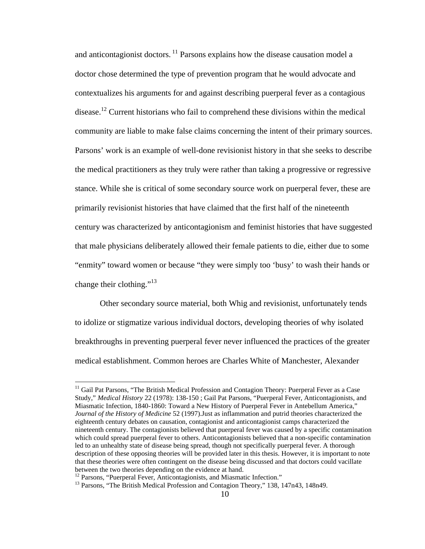and anticontagionist doctors.  $\frac{11}{11}$  Parsons explains how the disease causation model a doctor chose determined the type of prevention program that he would advocate and contextualizes his arguments for and against describing puerperal fever as a contagious disease.<sup>12</sup> Current historians who fail to comprehend these divisions within the medical community are liable to make false claims concerning the intent of their primary sources. Parsons' work is an example of well-done revisionist history in that she seeks to describe the medical practitioners as they truly were rather than taking a progressive or regressive stance. While she is critical of some secondary source work on puerperal fever, these are primarily revisionist histories that have claimed that the first half of the nineteenth century was characterized by anticontagionism and feminist histories that have suggested that male physicians deliberately allowed their female patients to die, either due to some "enmity" toward women or because "they were simply too 'busy' to wash their hands or change their clothing."<sup>13</sup>

Other secondary source material, both Whig and revisionist, unfortunately tends to idolize or stigmatize various individual doctors, developing theories of why isolated breakthroughs in preventing puerperal fever never influenced the practices of the greater medical establishment. Common heroes are Charles White of Manchester, Alexander

<sup>&</sup>lt;sup>11</sup> Gail Pat Parsons, "The British Medical Profession and Contagion Theory: Puerperal Fever as a Case Study," *Medical History* 22 (1978): 138-150 ; Gail Pat Parsons, "Puerperal Fever, Anticontagionists, and Miasmatic Infection, 1840-1860: Toward a New History of Puerperal Fever in Antebellum America," *Journal of the History of Medicine* 52 (1997).Just as inflammation and putrid theories characterized the eighteenth century debates on causation, contagionist and anticontagionist camps characterized the nineteenth century. The contagionists believed that puerperal fever was caused by a specific contamination which could spread puerperal fever to others. Anticontagionists believed that a non-specific contamination led to an unhealthy state of disease being spread, though not specifically puerperal fever. A thorough description of these opposing theories will be provided later in this thesis. However, it is important to note that these theories were often contingent on the disease being discussed and that doctors could vacillate between the two theories depending on the evidence at hand.

<sup>&</sup>lt;sup>12</sup> Parsons, "Puerperal Fever, Anticontagionists, and Miasmatic Infection."

<sup>&</sup>lt;sup>13</sup> Parsons, "The British Medical Profession and Contagion Theory," 138, 147n43, 148n49.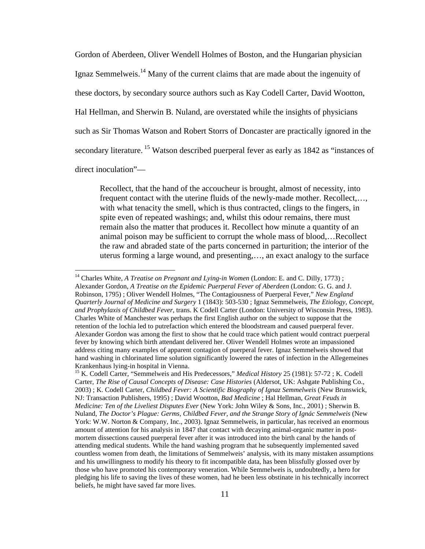Gordon of Aberdeen, Oliver Wendell Holmes of Boston, and the Hungarian physician Ignaz Semmelweis.<sup>14</sup> Many of the current claims that are made about the ingenuity of these doctors, by secondary source authors such as Kay Codell Carter, David Wootton, Hal Hellman, and Sherwin B. Nuland, are overstated while the insights of physicians such as Sir Thomas Watson and Robert Storrs of Doncaster are practically ignored in the secondary literature.<sup>15</sup> Watson described puerperal fever as early as 1842 as "instances of direct inoculation"—

Recollect, that the hand of the accoucheur is brought, almost of necessity, into frequent contact with the uterine fluids of the newly-made mother. Recollect,…, with what tenacity the smell, which is thus contracted, clings to the fingers, in spite even of repeated washings; and, whilst this odour remains, there must remain also the matter that produces it. Recollect how minute a quantity of an animal poison may be sufficient to corrupt the whole mass of blood,…Recollect the raw and abraded state of the parts concerned in parturition; the interior of the uterus forming a large wound, and presenting,…, an exact analogy to the surface

<sup>&</sup>lt;sup>14</sup> Charles White, *A Treatise on Pregnant and Lying-in Women* (London: E. and C. Dilly, 1773); Alexander Gordon, *A Treatise on the Epidemic Puerperal Fever of Aberdeen* (London: G. G. and J. Robinson, 1795) ; Oliver Wendell Holmes, "The Contagiousness of Puerperal Fever," *New England Quarterly Journal of Medicine and Surgery* 1 (1843): 503-530 ; Ignaz Semmelweis, *The Etiology, Concept, and Prophylaxis of Childbed Fever*, trans. K Codell Carter (London: University of Wisconsin Press, 1983). Charles White of Manchester was perhaps the first English author on the subject to suppose that the retention of the lochia led to putrefaction which entered the bloodstream and caused puerperal fever. Alexander Gordon was among the first to show that he could trace which patient would contract puerperal fever by knowing which birth attendant delivered her. Oliver Wendell Holmes wrote an impassioned address citing many examples of apparent contagion of puerperal fever. Ignaz Semmelweis showed that hand washing in chlorinated lime solution significantly lowered the rates of infection in the Allegemeines Krankenhaus lying-in hospital in Vienna.

<sup>&</sup>lt;sup>15</sup> K. Codell Carter, "Semmelweis and His Predecessors," *Medical History* 25 (1981): 57-72; K. Codell Carter, *The Rise of Causal Concepts of Disease: Case Histories* (Aldersot, UK: Ashgate Publishing Co., 2003) ; K. Codell Carter, *Childbed Fever: A Scientific Biography of Ignaz Semmelweis* (New Brunswick, NJ: Transaction Publishers, 1995) ; David Wootton, *Bad Medicine* ; Hal Hellman, *Great Feuds in Medicine: Ten of the Liveliest Disputes Ever* (New York: John Wiley & Sons, Inc., 2001) ; Sherwin B. Nuland, *The Doctor's Plague: Germs, Childbed Fever, and the Strange Story of Ignác Semmelweis* (New York: W.W. Norton & Company, Inc., 2003). Ignaz Semmelweis, in particular, has received an enormous amount of attention for his analysis in 1847 that contact with decaying animal-organic matter in postmortem dissections caused puerperal fever after it was introduced into the birth canal by the hands of attending medical students. While the hand washing program that he subsequently implemented saved countless women from death, the limitations of Semmelweis' analysis, with its many mistaken assumptions and his unwillingness to modify his theory to fit incompatible data, has been blissfully glossed over by those who have promoted his contemporary veneration. While Semmelweis is, undoubtedly, a hero for pledging his life to saving the lives of these women, had he been less obstinate in his technically incorrect beliefs, he might have saved far more lives.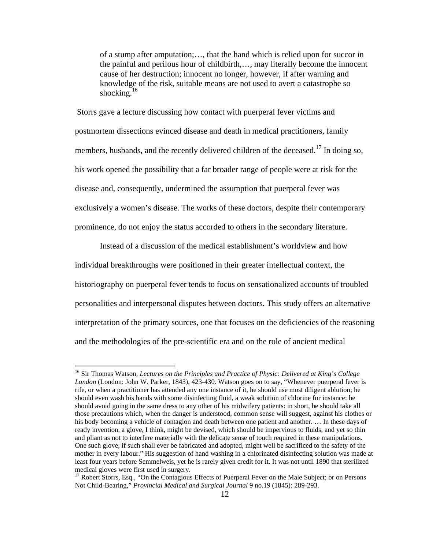of a stump after amputation;…, that the hand which is relied upon for succor in the painful and perilous hour of childbirth,…, may literally become the innocent cause of her destruction; innocent no longer, however, if after warning and knowledge of the risk, suitable means are not used to avert a catastrophe so shocking. $16$ 

Storrs gave a lecture discussing how contact with puerperal fever victims and postmortem dissections evinced disease and death in medical practitioners, family members, husbands, and the recently delivered children of the deceased.<sup>17</sup> In doing so, his work opened the possibility that a far broader range of people were at risk for the disease and, consequently, undermined the assumption that puerperal fever was exclusively a women's disease. The works of these doctors, despite their contemporary prominence, do not enjoy the status accorded to others in the secondary literature.

Instead of a discussion of the medical establishment's worldview and how individual breakthroughs were positioned in their greater intellectual context, the historiography on puerperal fever tends to focus on sensationalized accounts of troubled personalities and interpersonal disputes between doctors. This study offers an alternative interpretation of the primary sources, one that focuses on the deficiencies of the reasoning and the methodologies of the pre-scientific era and on the role of ancient medical

<sup>16</sup> Sir Thomas Watson, *Lectures on the Principles and Practice of Physic: Delivered at King's College London* (London: John W. Parker, 1843), 423-430. Watson goes on to say, "Whenever puerperal fever is rife, or when a practitioner has attended any one instance of it, he should use most diligent ablution; he should even wash his hands with some disinfecting fluid, a weak solution of chlorine for instance: he should avoid going in the same dress to any other of his midwifery patients: in short, he should take all those precautions which, when the danger is understood, common sense will suggest, against his clothes or his body becoming a vehicle of contagion and death between one patient and another. … In these days of ready invention, a glove, I think, might be devised, which should be impervious to fluids, and yet so thin and pliant as not to interfere materially with the delicate sense of touch required in these manipulations. One such glove, if such shall ever be fabricated and adopted, might well be sacrificed to the safety of the mother in every labour." His suggestion of hand washing in a chlorinated disinfecting solution was made at least four years before Semmelweis, yet he is rarely given credit for it. It was not until 1890 that sterilized medical gloves were first used in surgery.

<sup>&</sup>lt;sup>17</sup> Robert Storrs, Esq., "On the Contagious Effects of Puerperal Fever on the Male Subject; or on Persons Not Child-Bearing," *Provincial Medical and Surgical Journal* 9 no.19 (1845): 289-293.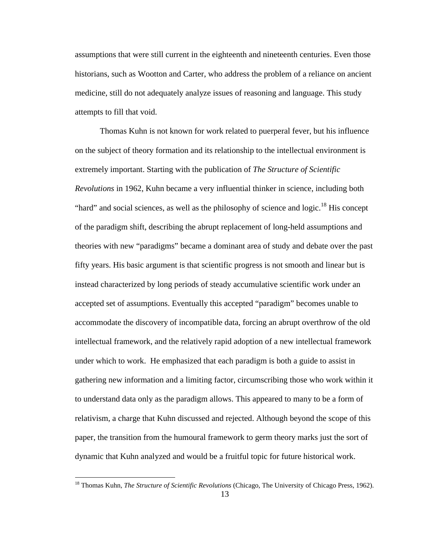assumptions that were still current in the eighteenth and nineteenth centuries. Even those historians, such as Wootton and Carter, who address the problem of a reliance on ancient medicine, still do not adequately analyze issues of reasoning and language. This study attempts to fill that void.

Thomas Kuhn is not known for work related to puerperal fever, but his influence on the subject of theory formation and its relationship to the intellectual environment is extremely important. Starting with the publication of *The Structure of Scientific Revolutions* in 1962, Kuhn became a very influential thinker in science, including both "hard" and social sciences, as well as the philosophy of science and logic.<sup>18</sup> His concept of the paradigm shift, describing the abrupt replacement of long-held assumptions and theories with new "paradigms" became a dominant area of study and debate over the past fifty years. His basic argument is that scientific progress is not smooth and linear but is instead characterized by long periods of steady accumulative scientific work under an accepted set of assumptions. Eventually this accepted "paradigm" becomes unable to accommodate the discovery of incompatible data, forcing an abrupt overthrow of the old intellectual framework, and the relatively rapid adoption of a new intellectual framework under which to work. He emphasized that each paradigm is both a guide to assist in gathering new information and a limiting factor, circumscribing those who work within it to understand data only as the paradigm allows. This appeared to many to be a form of relativism, a charge that Kuhn discussed and rejected. Although beyond the scope of this paper, the transition from the humoural framework to germ theory marks just the sort of dynamic that Kuhn analyzed and would be a fruitful topic for future historical work.

<sup>18</sup> Thomas Kuhn, *The Structure of Scientific Revolutions* (Chicago, The University of Chicago Press, 1962).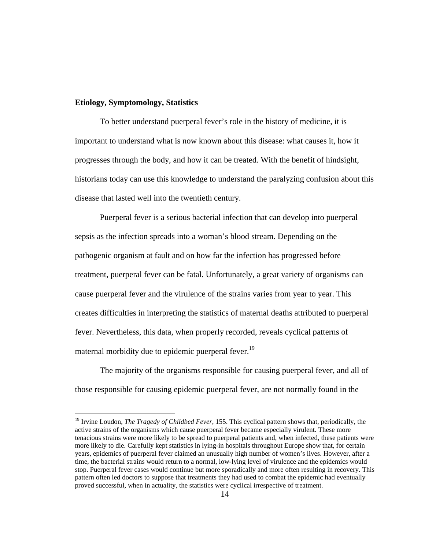#### **Etiology, Symptomology, Statistics**

To better understand puerperal fever's role in the history of medicine, it is important to understand what is now known about this disease: what causes it, how it progresses through the body, and how it can be treated. With the benefit of hindsight, historians today can use this knowledge to understand the paralyzing confusion about this disease that lasted well into the twentieth century.

Puerperal fever is a serious bacterial infection that can develop into puerperal sepsis as the infection spreads into a woman's blood stream. Depending on the pathogenic organism at fault and on how far the infection has progressed before treatment, puerperal fever can be fatal. Unfortunately, a great variety of organisms can cause puerperal fever and the virulence of the strains varies from year to year. This creates difficulties in interpreting the statistics of maternal deaths attributed to puerperal fever. Nevertheless, this data, when properly recorded, reveals cyclical patterns of maternal morbidity due to epidemic puerperal fever.<sup>19</sup>

The majority of the organisms responsible for causing puerperal fever, and all of those responsible for causing epidemic puerperal fever, are not normally found in the

<sup>&</sup>lt;sup>19</sup> Irvine Loudon, *The Tragedy of Childbed Fever*, 155. This cyclical pattern shows that, periodically, the active strains of the organisms which cause puerperal fever became especially virulent. These more tenacious strains were more likely to be spread to puerperal patients and, when infected, these patients were more likely to die. Carefully kept statistics in lying-in hospitals throughout Europe show that, for certain years, epidemics of puerperal fever claimed an unusually high number of women's lives. However, after a time, the bacterial strains would return to a normal, low-lying level of virulence and the epidemics would stop. Puerperal fever cases would continue but more sporadically and more often resulting in recovery. This pattern often led doctors to suppose that treatments they had used to combat the epidemic had eventually proved successful, when in actuality, the statistics were cyclical irrespective of treatment.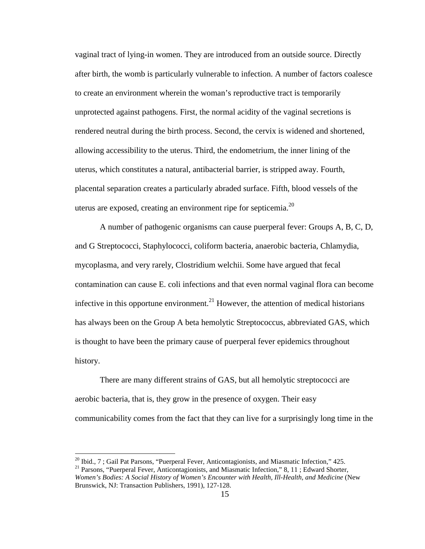vaginal tract of lying-in women. They are introduced from an outside source. Directly after birth, the womb is particularly vulnerable to infection. A number of factors coalesce to create an environment wherein the woman's reproductive tract is temporarily unprotected against pathogens. First, the normal acidity of the vaginal secretions is rendered neutral during the birth process. Second, the cervix is widened and shortened, allowing accessibility to the uterus. Third, the endometrium, the inner lining of the uterus, which constitutes a natural, antibacterial barrier, is stripped away. Fourth, placental separation creates a particularly abraded surface. Fifth, blood vessels of the uterus are exposed, creating an environment ripe for septicemia.<sup>20</sup>

A number of pathogenic organisms can cause puerperal fever: Groups A, B, C, D, and G Streptococci, Staphylococci, coliform bacteria, anaerobic bacteria, Chlamydia, mycoplasma, and very rarely, Clostridium welchii. Some have argued that fecal contamination can cause E. coli infections and that even normal vaginal flora can become infective in this opportune environment.<sup>21</sup> However, the attention of medical historians has always been on the Group A beta hemolytic Streptococcus, abbreviated GAS, which is thought to have been the primary cause of puerperal fever epidemics throughout history.

There are many different strains of GAS, but all hemolytic streptococci are aerobic bacteria, that is, they grow in the presence of oxygen. Their easy communicability comes from the fact that they can live for a surprisingly long time in the

 $^{20}$  Ibid., 7; Gail Pat Parsons, "Puerperal Fever, Anticontagionists, and Miasmatic Infection," 425.

<sup>&</sup>lt;sup>21</sup> Parsons, "Puerperal Fever, Anticontagionists, and Miasmatic Infection," 8, 11; Edward Shorter, *Women's Bodies: A Social History of Women's Encounter with Health, Ill-Health, and Medicine* (New Brunswick, NJ: Transaction Publishers, 1991), 127-128.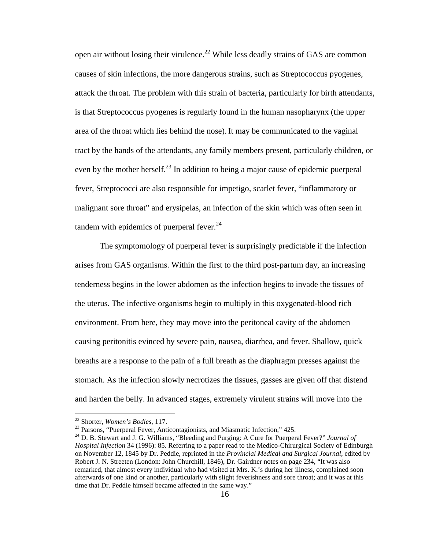open air without losing their virulence.<sup>22</sup> While less deadly strains of GAS are common causes of skin infections, the more dangerous strains, such as Streptococcus pyogenes, attack the throat. The problem with this strain of bacteria, particularly for birth attendants, is that Streptococcus pyogenes is regularly found in the human nasopharynx (the upper area of the throat which lies behind the nose). It may be communicated to the vaginal tract by the hands of the attendants, any family members present, particularly children, or even by the mother herself.<sup>23</sup> In addition to being a major cause of epidemic puerperal fever, Streptococci are also responsible for impetigo, scarlet fever, "inflammatory or malignant sore throat" and erysipelas, an infection of the skin which was often seen in tandem with epidemics of puerperal fever. $24$ 

The symptomology of puerperal fever is surprisingly predictable if the infection arises from GAS organisms. Within the first to the third post-partum day, an increasing tenderness begins in the lower abdomen as the infection begins to invade the tissues of the uterus. The infective organisms begin to multiply in this oxygenated-blood rich environment. From here, they may move into the peritoneal cavity of the abdomen causing peritonitis evinced by severe pain, nausea, diarrhea, and fever. Shallow, quick breaths are a response to the pain of a full breath as the diaphragm presses against the stomach. As the infection slowly necrotizes the tissues, gasses are given off that distend and harden the belly. In advanced stages, extremely virulent strains will move into the

<sup>22</sup> Shorter, *Women's Bodies*, 117.

<sup>&</sup>lt;sup>23</sup> Parsons, "Puerperal Fever, Anticontagionists, and Miasmatic Infection," 425.

<sup>24</sup> D. B. Stewart and J. G. Williams, "Bleeding and Purging: A Cure for Puerperal Fever?" *Journal of Hospital Infection* 34 (1996): 85. Referring to a paper read to the Medico-Chirurgical Society of Edinburgh on November 12, 1845 by Dr. Peddie, reprinted in the *Provincial Medical and Surgical Journal,* edited by Robert J. N. Streeten (London: John Churchill, 1846), Dr. Gairdner notes on page 234, "It was also remarked, that almost every individual who had visited at Mrs. K.'s during her illness, complained soon afterwards of one kind or another, particularly with slight feverishness and sore throat; and it was at this time that Dr. Peddie himself became affected in the same way."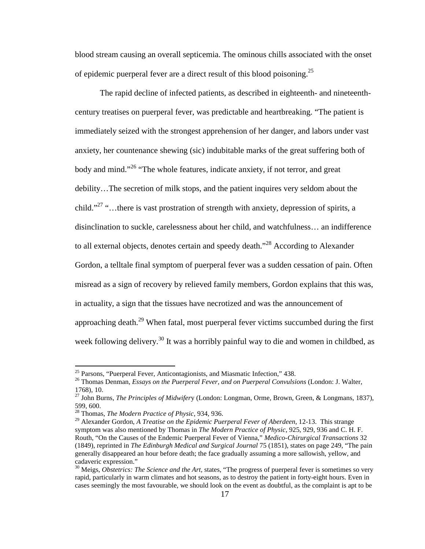blood stream causing an overall septicemia. The ominous chills associated with the onset of epidemic puerperal fever are a direct result of this blood poisoning.<sup>25</sup>

The rapid decline of infected patients, as described in eighteenth- and nineteenthcentury treatises on puerperal fever, was predictable and heartbreaking. "The patient is immediately seized with the strongest apprehension of her danger, and labors under vast anxiety, her countenance shewing (sic) indubitable marks of the great suffering both of body and mind."<sup>26</sup> "The whole features, indicate anxiety, if not terror, and great debility…The secretion of milk stops, and the patient inquires very seldom about the child."<sup>27</sup> "...there is vast prostration of strength with anxiety, depression of spirits, a disinclination to suckle, carelessness about her child, and watchfulness… an indifference to all external objects, denotes certain and speedy death."<sup>28</sup> According to Alexander Gordon, a telltale final symptom of puerperal fever was a sudden cessation of pain. Often misread as a sign of recovery by relieved family members, Gordon explains that this was, in actuality, a sign that the tissues have necrotized and was the announcement of approaching death.<sup>29</sup> When fatal, most puerperal fever victims succumbed during the first week following delivery.<sup>30</sup> It was a horribly painful way to die and women in childbed, as

<sup>&</sup>lt;sup>25</sup> Parsons, "Puerperal Fever, Anticontagionists, and Miasmatic Infection," 438.

<sup>&</sup>lt;sup>26</sup> Thomas Denman, *Essays on the Puerperal Fever, and on Puerperal Convulsions* (London: J. Walter, 1768), 10.

<sup>27</sup> John Burns, *The Principles of Midwifer*y (London: Longman, Orme, Brown, Green, & Longmans, 1837), 599, 600.

<sup>28</sup> Thomas, *The Modern Practice of Physic*, 934, 936.

<sup>29</sup> Alexander Gordon, *A Treatise on the Epidemic Puerperal Fever of Aberdeen*, 12-13. This strange symptom was also mentioned by Thomas in *The Modern Practice of Physic*, 925, 929, 936 and C. H. F. Routh, "On the Causes of the Endemic Puerperal Fever of Vienna," *Medico-Chirurgical Transactions* 32 (1849), reprinted in *The Edinburgh Medical and Surgical Journal* 75 (1851), states on page 249, "The pain generally disappeared an hour before death; the face gradually assuming a more sallowish, yellow, and cadaveric expression."

<sup>&</sup>lt;sup>30</sup> Meigs, *Obstetrics: The Science and the Art*, states, "The progress of puerperal fever is sometimes so very rapid, particularly in warm climates and hot seasons, as to destroy the patient in forty-eight hours. Even in cases seemingly the most favourable, we should look on the event as doubtful, as the complaint is apt to be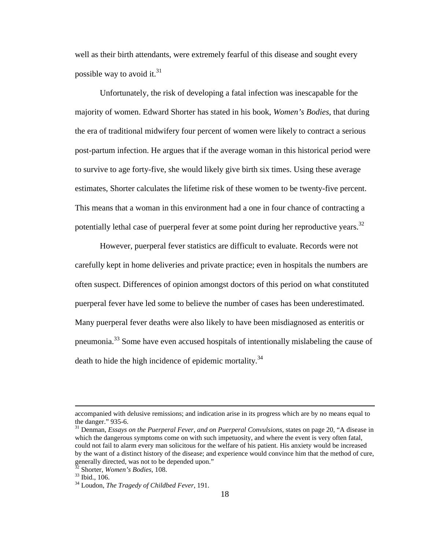well as their birth attendants, were extremely fearful of this disease and sought every possible way to avoid it. $31$ 

Unfortunately, the risk of developing a fatal infection was inescapable for the majority of women. Edward Shorter has stated in his book, *Women's Bodies*, that during the era of traditional midwifery four percent of women were likely to contract a serious post-partum infection. He argues that if the average woman in this historical period were to survive to age forty-five, she would likely give birth six times. Using these average estimates, Shorter calculates the lifetime risk of these women to be twenty-five percent. This means that a woman in this environment had a one in four chance of contracting a potentially lethal case of puerperal fever at some point during her reproductive years.<sup>32</sup>

However, puerperal fever statistics are difficult to evaluate. Records were not carefully kept in home deliveries and private practice; even in hospitals the numbers are often suspect. Differences of opinion amongst doctors of this period on what constituted puerperal fever have led some to believe the number of cases has been underestimated. Many puerperal fever deaths were also likely to have been misdiagnosed as enteritis or pneumonia.<sup>33</sup> Some have even accused hospitals of intentionally mislabeling the cause of death to hide the high incidence of epidemic mortality.<sup>34</sup>

accompanied with delusive remissions; and indication arise in its progress which are by no means equal to the danger." 935-6.

<sup>31</sup> Denman, *Essays on the Puerperal Fever, and on Puerperal Convulsions,* states on page 20, "A disease in which the dangerous symptoms come on with such impetuosity, and where the event is very often fatal, could not fail to alarm every man solicitous for the welfare of his patient. His anxiety would be increased by the want of a distinct history of the disease; and experience would convince him that the method of cure, generally directed, was not to be depended upon."

<sup>32</sup> Shorter, *Women's Bodies*, 108.

<sup>33</sup> Ibid., 106.

<sup>34</sup> Loudon, *The Tragedy of Childbed Fever*, 191.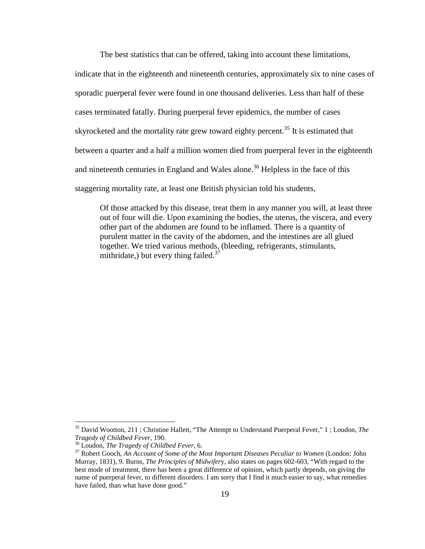The best statistics that can be offered, taking into account these limitations,

indicate that in the eighteenth and nineteenth centuries, approximately six to nine cases of sporadic puerperal fever were found in one thousand deliveries. Less than half of these cases terminated fatally. During puerperal fever epidemics, the number of cases skyrocketed and the mortality rate grew toward eighty percent.<sup>35</sup> It is estimated that between a quarter and a half a million women died from puerperal fever in the eighteenth and nineteenth centuries in England and Wales alone.<sup>36</sup> Helpless in the face of this staggering mortality rate, at least one British physician told his students,

Of those attacked by this disease, treat them in any manner you will, at least three out of four will die. Upon examining the bodies, the uterus, the viscera, and every other part of the abdomen are found to be inflamed. There is a quantity of purulent matter in the cavity of the abdomen, and the intestines are all glued together. We tried various methods, (bleeding, refrigerants, stimulants, mithridate,) but every thing failed.<sup>37</sup>

<sup>35</sup> David Wootton, 211 ; Christine Hallett, "The Attempt to Understand Puerperal Fever," 1 ; Loudon, *The Tragedy of Childbed Fever*, 190.

<sup>36</sup> Loudon, *The Tragedy of Childbed Fever*, 6.

<sup>37</sup> Robert Gooch, *An Account of Some of the Most Important Diseases Peculiar to Women* (London: John Murray, 1831), 9. Burns, *The Principles of Midwifer*y, also states on pages 602-603, "With regard to the best mode of treatment, there has been a great difference of opinion, which partly depends, on giving the name of puerperal fever, to different disorders. I am sorry that I find it much easier to say, what remedies have failed, than what have done good."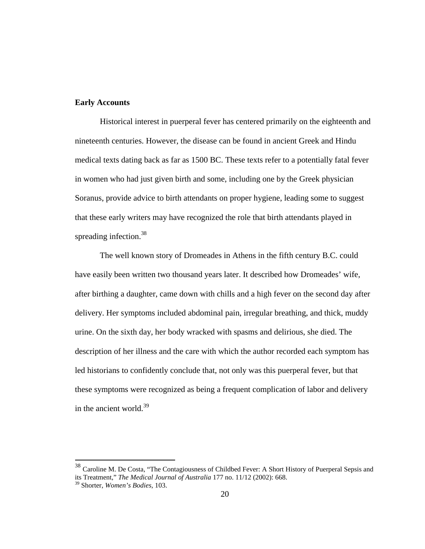#### **Early Accounts**

Historical interest in puerperal fever has centered primarily on the eighteenth and nineteenth centuries. However, the disease can be found in ancient Greek and Hindu medical texts dating back as far as 1500 BC. These texts refer to a potentially fatal fever in women who had just given birth and some, including one by the Greek physician Soranus, provide advice to birth attendants on proper hygiene, leading some to suggest that these early writers may have recognized the role that birth attendants played in spreading infection.<sup>38</sup>

The well known story of Dromeades in Athens in the fifth century B.C. could have easily been written two thousand years later. It described how Dromeades' wife, after birthing a daughter, came down with chills and a high fever on the second day after delivery. Her symptoms included abdominal pain, irregular breathing, and thick, muddy urine. On the sixth day, her body wracked with spasms and delirious, she died. The description of her illness and the care with which the author recorded each symptom has led historians to confidently conclude that, not only was this puerperal fever, but that these symptoms were recognized as being a frequent complication of labor and delivery in the ancient world. $39$ 

<sup>&</sup>lt;sup>38</sup> Caroline M. De Costa, "The Contagiousness of Childbed Fever: A Short History of Puerperal Sepsis and its Treatment," *The Medical Journal of Australia* 177 no. 11/12 (2002): 668.

<sup>39</sup> Shorter, *Women's Bodies,* 103.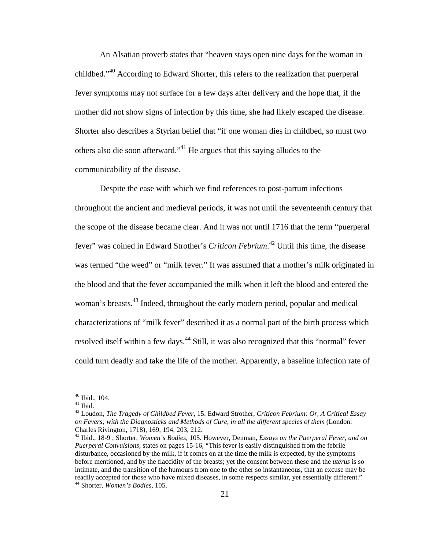An Alsatian proverb states that "heaven stays open nine days for the woman in childbed."<sup>40</sup> According to Edward Shorter, this refers to the realization that puerperal fever symptoms may not surface for a few days after delivery and the hope that, if the mother did not show signs of infection by this time, she had likely escaped the disease. Shorter also describes a Styrian belief that "if one woman dies in childbed, so must two others also die soon afterward."<sup>41</sup> He argues that this saying alludes to the communicability of the disease.

Despite the ease with which we find references to post-partum infections throughout the ancient and medieval periods, it was not until the seventeenth century that the scope of the disease became clear. And it was not until 1716 that the term "puerperal fever" was coined in Edward Strother's *Criticon Febrium*. <sup>42</sup> Until this time, the disease was termed "the weed" or "milk fever." It was assumed that a mother's milk originated in the blood and that the fever accompanied the milk when it left the blood and entered the woman's breasts.<sup>43</sup> Indeed, throughout the early modern period, popular and medical characterizations of "milk fever" described it as a normal part of the birth process which resolved itself within a few days.<sup>44</sup> Still, it was also recognized that this "normal" fever could turn deadly and take the life of the mother. Apparently, a baseline infection rate of

 $40$  Ibid., 104.

 $41$  Ibid.

<sup>42</sup> Loudon, *The Tragedy of Childbed Fever,* 15. Edward Strother, *Criticon Febrium: Or, A Critical Essay on Fevers; with the Diagnosticks and Methods of Cure, in all the different species of them* (London: Charles Rivington, 1718), 169, 194, 203, 212.

<sup>43</sup> Ibid.*,* 18-9 ; Shorter, *Women's Bodies,* 105. However, Denman, *Essays on the Puerperal Fever, and on Puerperal Convulsions,* states on pages 15-16, "This fever is easily distinguished from the febrile disturbance, occasioned by the milk, if it comes on at the time the milk is expected, by the symptoms before mentioned, and by the flaccidity of the breasts; yet the consent between these and the *uterus* is so intimate, and the transition of the humours from one to the other so instantaneous, that an excuse may be readily accepted for those who have mixed diseases, in some respects similar, yet essentially different." <sup>44</sup> Shorter, *Women's Bodies,* 105.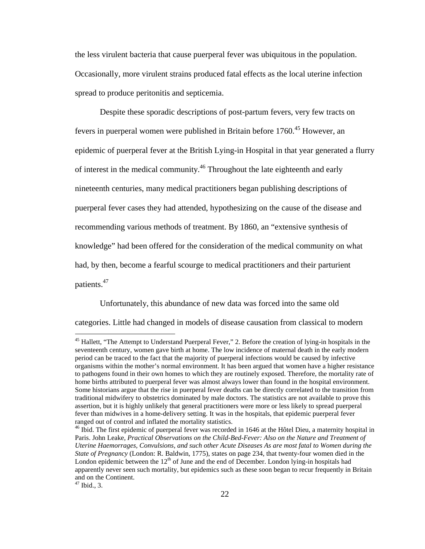the less virulent bacteria that cause puerperal fever was ubiquitous in the population. Occasionally, more virulent strains produced fatal effects as the local uterine infection spread to produce peritonitis and septicemia.

Despite these sporadic descriptions of post-partum fevers, very few tracts on fevers in puerperal women were published in Britain before 1760.<sup>45</sup> However, an epidemic of puerperal fever at the British Lying-in Hospital in that year generated a flurry of interest in the medical community.<sup>46</sup> Throughout the late eighteenth and early nineteenth centuries, many medical practitioners began publishing descriptions of puerperal fever cases they had attended, hypothesizing on the cause of the disease and recommending various methods of treatment. By 1860, an "extensive synthesis of knowledge" had been offered for the consideration of the medical community on what had, by then, become a fearful scourge to medical practitioners and their parturient patients.<sup>47</sup>

Unfortunately, this abundance of new data was forced into the same old categories. Little had changed in models of disease causation from classical to modern

<sup>&</sup>lt;sup>45</sup> Hallett, "The Attempt to Understand Puerperal Fever," 2. Before the creation of lying-in hospitals in the seventeenth century, women gave birth at home. The low incidence of maternal death in the early modern period can be traced to the fact that the majority of puerperal infections would be caused by infective organisms within the mother's normal environment. It has been argued that women have a higher resistance to pathogens found in their own homes to which they are routinely exposed. Therefore, the mortality rate of home births attributed to puerperal fever was almost always lower than found in the hospital environment. Some historians argue that the rise in puerperal fever deaths can be directly correlated to the transition from traditional midwifery to obstetrics dominated by male doctors. The statistics are not available to prove this assertion, but it is highly unlikely that general practitioners were more or less likely to spread puerperal fever than midwives in a home-delivery setting. It was in the hospitals, that epidemic puerperal fever ranged out of control and inflated the mortality statistics.

<sup>&</sup>lt;sup>46</sup> Ibid. The first epidemic of puerperal fever was recorded in 1646 at the Hôtel Dieu, a maternity hospital in Paris. John Leake, *Practical Observations on the Child-Bed-Fever: Also on the Nature and Treatment of Uterine Haemorrages, Convulsions, and such other Acute Diseases As are most fatal to Women during the State of Pregnancy* (London: R. Baldwin, 1775), states on page 234, that twenty-four women died in the London epidemic between the  $12<sup>th</sup>$  of June and the end of December. London lying-in hospitals had apparently never seen such mortality, but epidemics such as these soon began to recur frequently in Britain and on the Continent.

 $47$  Ibid., 3.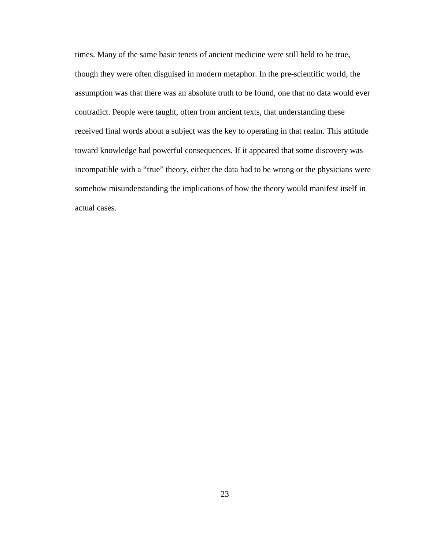times. Many of the same basic tenets of ancient medicine were still held to be true, though they were often disguised in modern metaphor. In the pre-scientific world, the assumption was that there was an absolute truth to be found, one that no data would ever contradict. People were taught, often from ancient texts, that understanding these received final words about a subject was the key to operating in that realm. This attitude toward knowledge had powerful consequences. If it appeared that some discovery was incompatible with a "true" theory, either the data had to be wrong or the physicians were somehow misunderstanding the implications of how the theory would manifest itself in actual cases.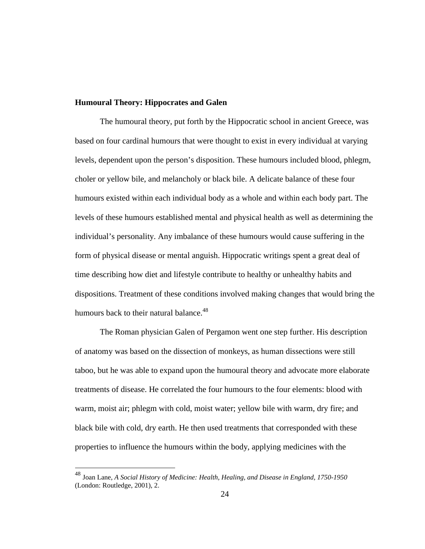#### **Humoural Theory: Hippocrates and Galen**

The humoural theory, put forth by the Hippocratic school in ancient Greece, was based on four cardinal humours that were thought to exist in every individual at varying levels, dependent upon the person's disposition. These humours included blood, phlegm, choler or yellow bile, and melancholy or black bile. A delicate balance of these four humours existed within each individual body as a whole and within each body part. The levels of these humours established mental and physical health as well as determining the individual's personality. Any imbalance of these humours would cause suffering in the form of physical disease or mental anguish. Hippocratic writings spent a great deal of time describing how diet and lifestyle contribute to healthy or unhealthy habits and dispositions. Treatment of these conditions involved making changes that would bring the humours back to their natural balance.<sup>48</sup>

The Roman physician Galen of Pergamon went one step further. His description of anatomy was based on the dissection of monkeys, as human dissections were still taboo, but he was able to expand upon the humoural theory and advocate more elaborate treatments of disease. He correlated the four humours to the four elements: blood with warm, moist air; phlegm with cold, moist water; yellow bile with warm, dry fire; and black bile with cold, dry earth. He then used treatments that corresponded with these properties to influence the humours within the body, applying medicines with the

<sup>48</sup> Joan Lane, *A Social History of Medicine: Health, Healing, and Disease in England, 1750-1950*  (London: Routledge, 2001), 2.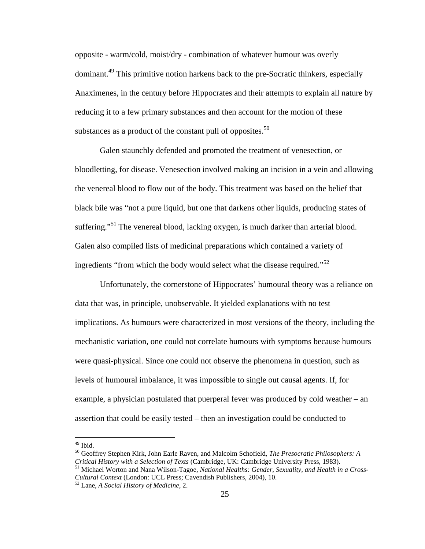opposite - warm/cold, moist/dry - combination of whatever humour was overly dominant.<sup>49</sup> This primitive notion harkens back to the pre-Socratic thinkers, especially Anaximenes, in the century before Hippocrates and their attempts to explain all nature by reducing it to a few primary substances and then account for the motion of these substances as a product of the constant pull of opposites. $50$ 

Galen staunchly defended and promoted the treatment of venesection, or bloodletting, for disease. Venesection involved making an incision in a vein and allowing the venereal blood to flow out of the body. This treatment was based on the belief that black bile was "not a pure liquid, but one that darkens other liquids, producing states of suffering."<sup>51</sup> The venereal blood, lacking oxygen, is much darker than arterial blood. Galen also compiled lists of medicinal preparations which contained a variety of ingredients "from which the body would select what the disease required."<sup>52</sup>

Unfortunately, the cornerstone of Hippocrates' humoural theory was a reliance on data that was, in principle, unobservable. It yielded explanations with no test implications. As humours were characterized in most versions of the theory, including the mechanistic variation, one could not correlate humours with symptoms because humours were quasi-physical. Since one could not observe the phenomena in question, such as levels of humoural imbalance, it was impossible to single out causal agents. If, for example, a physician postulated that puerperal fever was produced by cold weather – an assertion that could be easily tested – then an investigation could be conducted to

<sup>51</sup> Michael Worton and Nana Wilson-Tagoe, *National Healths: Gender, Sexuality, and Health in a Cross-Cultural Context* (London: UCL Press; Cavendish Publishers, 2004), 10.

 $49$  Ibid.

<sup>50</sup> Geoffrey Stephen Kirk, John Earle Raven, and Malcolm Schofield, *The Presocratic Philosophers: A Critical History with a Selection of Texts* (Cambridge, UK: Cambridge University Press, 1983).

<sup>52</sup> Lane, *A Social History of Medicine*, 2.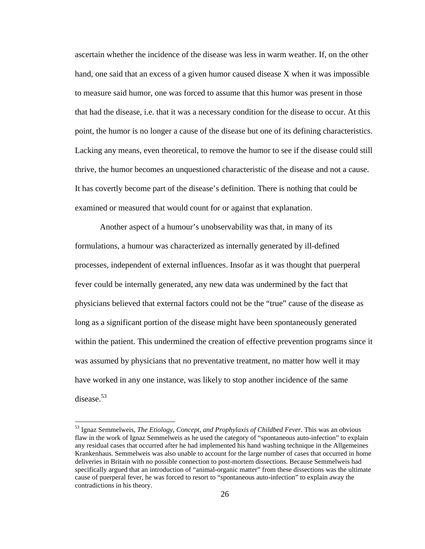ascertain whether the incidence of the disease was less in warm weather. If, on the other hand, one said that an excess of a given humor caused disease X when it was impossible to measure said humor, one was forced to assume that this humor was present in those that had the disease, i.e. that it was a necessary condition for the disease to occur. At this point, the humor is no longer a cause of the disease but one of its defining characteristics. Lacking any means, even theoretical, to remove the humor to see if the disease could still thrive, the humor becomes an unquestioned characteristic of the disease and not a cause. It has covertly become part of the disease's definition. There is nothing that could be examined or measured that would count for or against that explanation.

Another aspect of a humour's unobservability was that, in many of its formulations, a humour was characterized as internally generated by ill-defined processes, independent of external influences. Insofar as it was thought that puerperal fever could be internally generated, any new data was undermined by the fact that physicians believed that external factors could not be the "true" cause of the disease as long as a significant portion of the disease might have been spontaneously generated within the patient. This undermined the creation of effective prevention programs since it was assumed by physicians that no preventative treatment, no matter how well it may have worked in any one instance, was likely to stop another incidence of the same disease.<sup>53</sup>

<sup>53</sup> Ignaz Semmelweis, *The Etiology, Concept, and Prophylaxis of Childbed Fever.* This was an obvious flaw in the work of Ignaz Semmelweis as he used the category of "spontaneous auto-infection" to explain any residual cases that occurred after he had implemented his hand washing technique in the Allgemeines Krankenhaus. Semmelweis was also unable to account for the large number of cases that occurred in home deliveries in Britain with no possible connection to post-mortem dissections. Because Semmelweis had specifically argued that an introduction of "animal-organic matter" from these dissections was the ultimate cause of puerperal fever, he was forced to resort to "spontaneous auto-infection" to explain away the contradictions in his theory.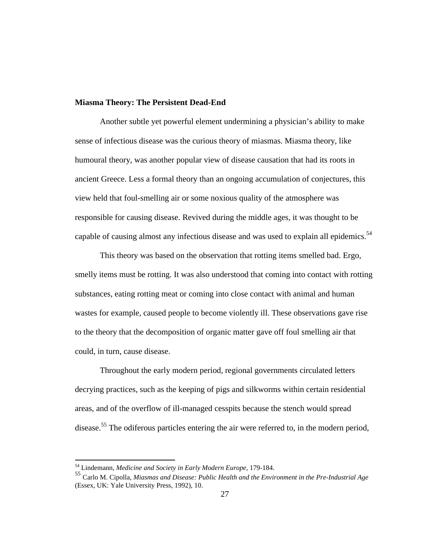#### **Miasma Theory: The Persistent Dead-End**

Another subtle yet powerful element undermining a physician's ability to make sense of infectious disease was the curious theory of miasmas. Miasma theory, like humoural theory, was another popular view of disease causation that had its roots in ancient Greece. Less a formal theory than an ongoing accumulation of conjectures, this view held that foul-smelling air or some noxious quality of the atmosphere was responsible for causing disease. Revived during the middle ages, it was thought to be capable of causing almost any infectious disease and was used to explain all epidemics.<sup>54</sup>

This theory was based on the observation that rotting items smelled bad. Ergo, smelly items must be rotting. It was also understood that coming into contact with rotting substances, eating rotting meat or coming into close contact with animal and human wastes for example, caused people to become violently ill. These observations gave rise to the theory that the decomposition of organic matter gave off foul smelling air that could, in turn, cause disease.

Throughout the early modern period, regional governments circulated letters decrying practices, such as the keeping of pigs and silkworms within certain residential areas, and of the overflow of ill-managed cesspits because the stench would spread disease.<sup>55</sup> The odiferous particles entering the air were referred to, in the modern period,

<sup>54</sup> Lindemann, *Medicine and Society in Early Modern Europe*, 179-184.

<sup>55</sup> Carlo M. Cipolla, *Miasmas and Disease: Public Health and the Environment in the Pre-Industrial Age* (Essex, UK: Yale University Press, 1992), 10.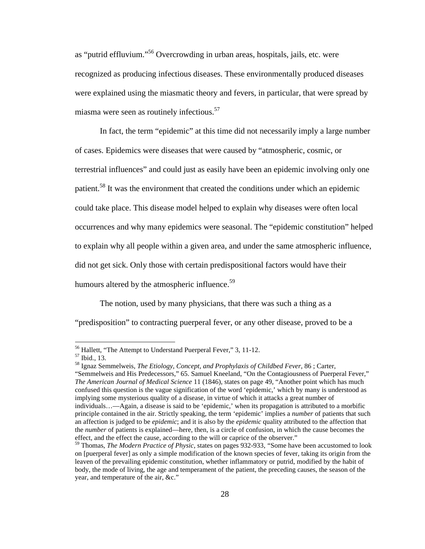as "putrid effluvium."<sup>56</sup> Overcrowding in urban areas, hospitals, jails, etc. were recognized as producing infectious diseases. These environmentally produced diseases were explained using the miasmatic theory and fevers, in particular, that were spread by miasma were seen as routinely infectious.<sup>57</sup>

In fact, the term "epidemic" at this time did not necessarily imply a large number of cases. Epidemics were diseases that were caused by "atmospheric, cosmic, or terrestrial influences" and could just as easily have been an epidemic involving only one patient.<sup>58</sup> It was the environment that created the conditions under which an epidemic could take place. This disease model helped to explain why diseases were often local occurrences and why many epidemics were seasonal. The "epidemic constitution" helped to explain why all people within a given area, and under the same atmospheric influence, did not get sick. Only those with certain predispositional factors would have their humours altered by the atmospheric influence.<sup>59</sup>

The notion, used by many physicians, that there was such a thing as a

"predisposition" to contracting puerperal fever, or any other disease, proved to be a

<sup>56</sup> Hallett, "The Attempt to Understand Puerperal Fever," 3, 11-12.

<sup>57</sup> Ibid., 13.

<sup>58</sup> Ignaz Semmelweis, *The Etiology, Concept, and Prophylaxis of Childbed Fever*, 86 ; Carter, "Semmelweis and His Predecessors," 65. Samuel Kneeland, "On the Contagiousness of Puerperal Fever," *The American Journal of Medical Science* 11 (1846), states on page 49, "Another point which has much confused this question is the vague signification of the word 'epidemic,' which by many is understood as implying some mysterious quality of a disease, in virtue of which it attacks a great number of individuals…—Again, a disease is said to be 'epidemic,' when its propagation is attributed to a morbific principle contained in the air. Strictly speaking, the term 'epidemic' implies a *number* of patients that such an affection is judged to be *epidemic*; and it is also by the *epidemic* quality attributed to the affection that the *number* of patients is explained—here, then, is a circle of confusion, in which the cause becomes the effect, and the effect the cause, according to the will or caprice of the observer."

<sup>59</sup> Thomas, *The Modern Practice of Physic,* states on pages 932-933, "Some have been accustomed to look on [puerperal fever] as only a simple modification of the known species of fever, taking its origin from the leaven of the prevailing epidemic constitution, whether inflammatory or putrid, modified by the habit of body, the mode of living, the age and temperament of the patient, the preceding causes, the season of the year, and temperature of the air, &c."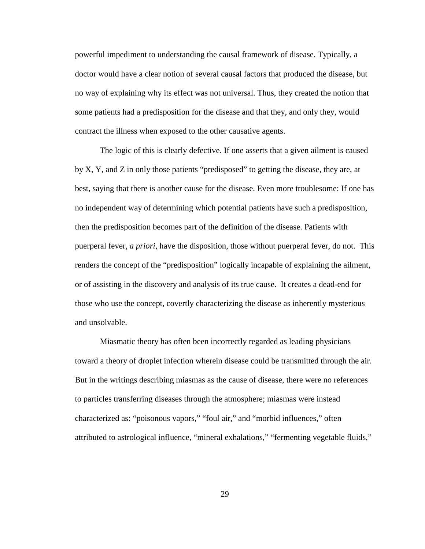powerful impediment to understanding the causal framework of disease. Typically, a doctor would have a clear notion of several causal factors that produced the disease, but no way of explaining why its effect was not universal. Thus, they created the notion that some patients had a predisposition for the disease and that they, and only they, would contract the illness when exposed to the other causative agents.

The logic of this is clearly defective. If one asserts that a given ailment is caused by X, Y, and Z in only those patients "predisposed" to getting the disease, they are, at best, saying that there is another cause for the disease. Even more troublesome: If one has no independent way of determining which potential patients have such a predisposition, then the predisposition becomes part of the definition of the disease. Patients with puerperal fever, *a priori*, have the disposition, those without puerperal fever, do not. This renders the concept of the "predisposition" logically incapable of explaining the ailment, or of assisting in the discovery and analysis of its true cause. It creates a dead-end for those who use the concept, covertly characterizing the disease as inherently mysterious and unsolvable.

Miasmatic theory has often been incorrectly regarded as leading physicians toward a theory of droplet infection wherein disease could be transmitted through the air. But in the writings describing miasmas as the cause of disease, there were no references to particles transferring diseases through the atmosphere; miasmas were instead characterized as: "poisonous vapors," "foul air," and "morbid influences," often attributed to astrological influence, "mineral exhalations," "fermenting vegetable fluids,"

29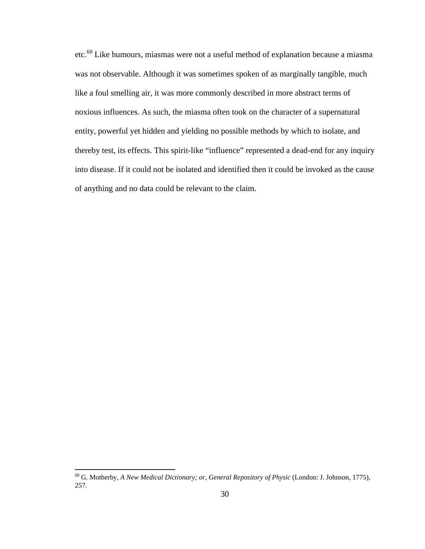etc.<sup>60</sup> Like humours, miasmas were not a useful method of explanation because a miasma was not observable. Although it was sometimes spoken of as marginally tangible, much like a foul smelling air, it was more commonly described in more abstract terms of noxious influences. As such, the miasma often took on the character of a supernatural entity, powerful yet hidden and yielding no possible methods by which to isolate, and thereby test, its effects. This spirit-like "influence" represented a dead-end for any inquiry into disease. If it could not be isolated and identified then it could be invoked as the cause of anything and no data could be relevant to the claim.

<sup>60</sup> G. Motherby, *A New Medical Dictionary; or, General Repository of Physic* (London: J. Johnson, 1775), 257.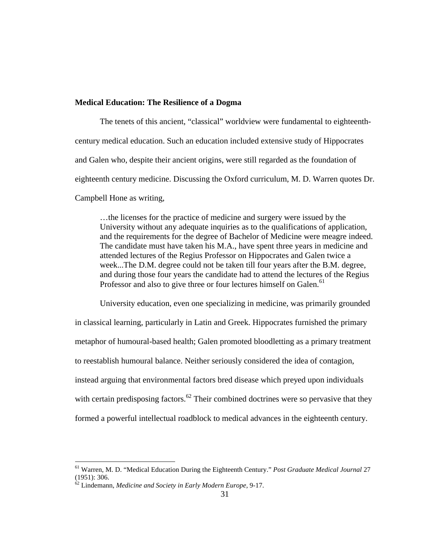#### **Medical Education: The Resilience of a Dogma**

The tenets of this ancient, "classical" worldview were fundamental to eighteenthcentury medical education. Such an education included extensive study of Hippocrates and Galen who, despite their ancient origins, were still regarded as the foundation of eighteenth century medicine. Discussing the Oxford curriculum, M. D. Warren quotes Dr. Campbell Hone as writing,

…the licenses for the practice of medicine and surgery were issued by the University without any adequate inquiries as to the qualifications of application, and the requirements for the degree of Bachelor of Medicine were meagre indeed. The candidate must have taken his M.A., have spent three years in medicine and attended lectures of the Regius Professor on Hippocrates and Galen twice a week...The D.M. degree could not be taken till four years after the B.M. degree, and during those four years the candidate had to attend the lectures of the Regius Professor and also to give three or four lectures himself on Galen.<sup>61</sup>

University education, even one specializing in medicine, was primarily grounded in classical learning, particularly in Latin and Greek. Hippocrates furnished the primary metaphor of humoural-based health; Galen promoted bloodletting as a primary treatment to reestablish humoural balance. Neither seriously considered the idea of contagion, instead arguing that environmental factors bred disease which preyed upon individuals with certain predisposing factors.<sup>62</sup> Their combined doctrines were so pervasive that they formed a powerful intellectual roadblock to medical advances in the eighteenth century.

<sup>61</sup> Warren, M. D. "Medical Education During the Eighteenth Century." *Post Graduate Medical Journal* 27 (1951): 306.

<sup>62</sup> Lindemann, *Medicine and Society in Early Modern Europe,* 9-17.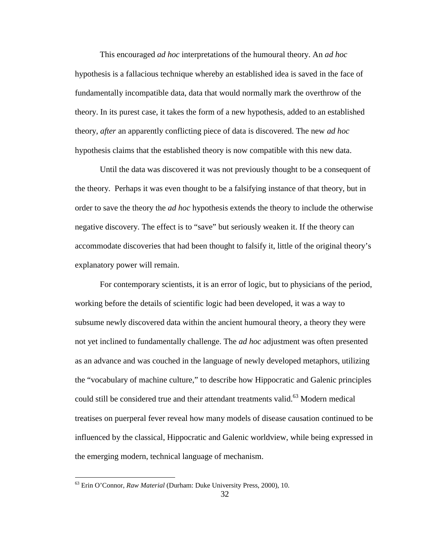This encouraged *ad hoc* interpretations of the humoural theory. An *ad hoc* hypothesis is a fallacious technique whereby an established idea is saved in the face of fundamentally incompatible data, data that would normally mark the overthrow of the theory. In its purest case, it takes the form of a new hypothesis, added to an established theory, *after* an apparently conflicting piece of data is discovered. The new *ad hoc* hypothesis claims that the established theory is now compatible with this new data.

Until the data was discovered it was not previously thought to be a consequent of the theory. Perhaps it was even thought to be a falsifying instance of that theory, but in order to save the theory the *ad hoc* hypothesis extends the theory to include the otherwise negative discovery. The effect is to "save" but seriously weaken it. If the theory can accommodate discoveries that had been thought to falsify it, little of the original theory's explanatory power will remain.

For contemporary scientists, it is an error of logic, but to physicians of the period, working before the details of scientific logic had been developed, it was a way to subsume newly discovered data within the ancient humoural theory, a theory they were not yet inclined to fundamentally challenge. The *ad hoc* adjustment was often presented as an advance and was couched in the language of newly developed metaphors, utilizing the "vocabulary of machine culture," to describe how Hippocratic and Galenic principles could still be considered true and their attendant treatments valid.<sup>63</sup> Modern medical treatises on puerperal fever reveal how many models of disease causation continued to be influenced by the classical, Hippocratic and Galenic worldview, while being expressed in the emerging modern, technical language of mechanism.

<sup>63</sup> Erin O'Connor, *Raw Material* (Durham: Duke University Press, 2000), 10.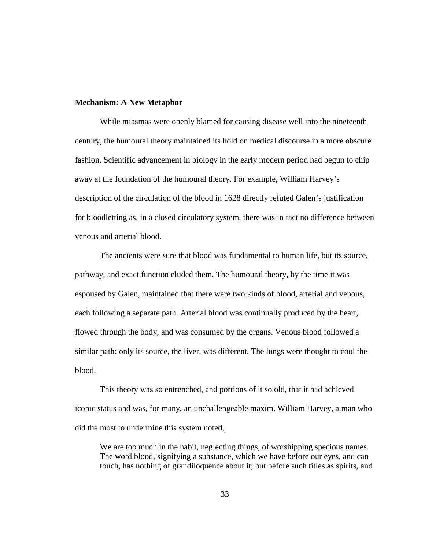### **Mechanism: A New Metaphor**

While miasmas were openly blamed for causing disease well into the nineteenth century, the humoural theory maintained its hold on medical discourse in a more obscure fashion. Scientific advancement in biology in the early modern period had begun to chip away at the foundation of the humoural theory. For example, William Harvey's description of the circulation of the blood in 1628 directly refuted Galen's justification for bloodletting as, in a closed circulatory system, there was in fact no difference between venous and arterial blood.

The ancients were sure that blood was fundamental to human life, but its source, pathway, and exact function eluded them. The humoural theory, by the time it was espoused by Galen, maintained that there were two kinds of blood, arterial and venous, each following a separate path. Arterial blood was continually produced by the heart, flowed through the body, and was consumed by the organs. Venous blood followed a similar path: only its source, the liver, was different. The lungs were thought to cool the blood.

This theory was so entrenched, and portions of it so old, that it had achieved iconic status and was, for many, an unchallengeable maxim. William Harvey, a man who did the most to undermine this system noted,

We are too much in the habit, neglecting things, of worshipping specious names. The word blood, signifying a substance, which we have before our eyes, and can touch, has nothing of grandiloquence about it; but before such titles as spirits, and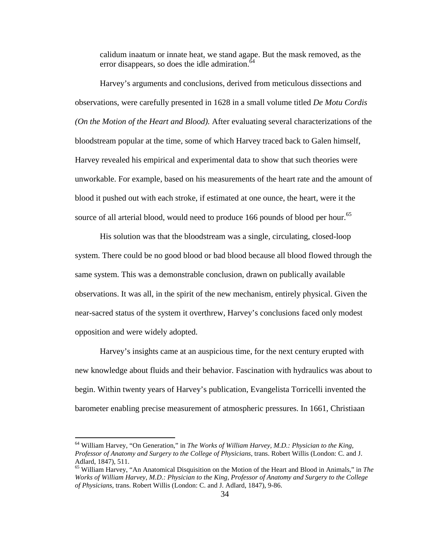calidum inaatum or innate heat, we stand agape. But the mask removed, as the error disappears, so does the idle admiration. $64$ 

Harvey's arguments and conclusions, derived from meticulous dissections and observations, were carefully presented in 1628 in a small volume titled *De Motu Cordis (On the Motion of the Heart and Blood).* After evaluating several characterizations of the bloodstream popular at the time, some of which Harvey traced back to Galen himself, Harvey revealed his empirical and experimental data to show that such theories were unworkable. For example, based on his measurements of the heart rate and the amount of blood it pushed out with each stroke, if estimated at one ounce, the heart, were it the source of all arterial blood, would need to produce 166 pounds of blood per hour.<sup>65</sup>

His solution was that the bloodstream was a single, circulating, closed-loop system. There could be no good blood or bad blood because all blood flowed through the same system. This was a demonstrable conclusion, drawn on publically available observations. It was all, in the spirit of the new mechanism, entirely physical. Given the near-sacred status of the system it overthrew, Harvey's conclusions faced only modest opposition and were widely adopted.

Harvey's insights came at an auspicious time, for the next century erupted with new knowledge about fluids and their behavior. Fascination with hydraulics was about to begin. Within twenty years of Harvey's publication, Evangelista Torricelli invented the barometer enabling precise measurement of atmospheric pressures. In 1661, Christiaan

<sup>64</sup> William Harvey, "On Generation," in *The Works of William Harvey, M.D.: Physician to the King, Professor of Anatomy and Surgery to the College of Physicians*, trans. Robert Willis (London: C. and J. Adlard, 1847), 511.

<sup>65</sup> William Harvey, "An Anatomical Disquisition on the Motion of the Heart and Blood in Animals," in *The Works of William Harvey, M.D.: Physician to the King, Professor of Anatomy and Surgery to the College of Physicians*, trans. Robert Willis (London: C. and J. Adlard, 1847), 9-86.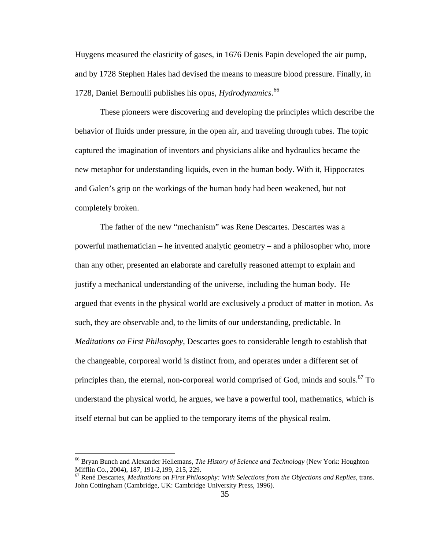Huygens measured the elasticity of gases, in 1676 Denis Papin developed the air pump, and by 1728 Stephen Hales had devised the means to measure blood pressure. Finally, in 1728, Daniel Bernoulli publishes his opus, *Hydrodynamics*. 66

These pioneers were discovering and developing the principles which describe the behavior of fluids under pressure, in the open air, and traveling through tubes. The topic captured the imagination of inventors and physicians alike and hydraulics became the new metaphor for understanding liquids, even in the human body. With it, Hippocrates and Galen's grip on the workings of the human body had been weakened, but not completely broken.

The father of the new "mechanism" was Rene Descartes. Descartes was a powerful mathematician – he invented analytic geometry – and a philosopher who, more than any other, presented an elaborate and carefully reasoned attempt to explain and justify a mechanical understanding of the universe, including the human body. He argued that events in the physical world are exclusively a product of matter in motion. As such, they are observable and, to the limits of our understanding, predictable. In *Meditations on First Philosophy*, Descartes goes to considerable length to establish that the changeable, corporeal world is distinct from, and operates under a different set of principles than, the eternal, non-corporeal world comprised of God, minds and souls.<sup>67</sup> To understand the physical world, he argues, we have a powerful tool, mathematics, which is itself eternal but can be applied to the temporary items of the physical realm.

<sup>66</sup> Bryan Bunch and Alexander Hellemans, *The History of Science and Technology* (New York: Houghton Mifflin Co., 2004), 187, 191-2,199, 215, 229.

<sup>67</sup> René Descartes, *Meditations on First Philosophy: With Selections from the Objections and Replies*, trans. John Cottingham (Cambridge, UK: Cambridge University Press, 1996).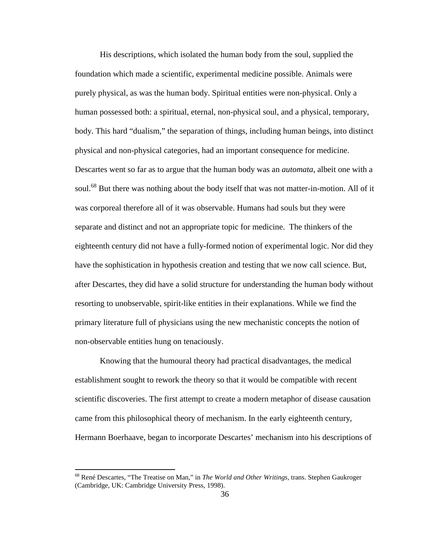His descriptions, which isolated the human body from the soul, supplied the foundation which made a scientific, experimental medicine possible. Animals were purely physical, as was the human body. Spiritual entities were non-physical. Only a human possessed both: a spiritual, eternal, non-physical soul, and a physical, temporary, body. This hard "dualism," the separation of things, including human beings, into distinct physical and non-physical categories, had an important consequence for medicine. Descartes went so far as to argue that the human body was an *automata*, albeit one with a soul.<sup>68</sup> But there was nothing about the body itself that was not matter-in-motion. All of it was corporeal therefore all of it was observable. Humans had souls but they were separate and distinct and not an appropriate topic for medicine. The thinkers of the eighteenth century did not have a fully-formed notion of experimental logic. Nor did they have the sophistication in hypothesis creation and testing that we now call science. But, after Descartes, they did have a solid structure for understanding the human body without resorting to unobservable, spirit-like entities in their explanations. While we find the primary literature full of physicians using the new mechanistic concepts the notion of non-observable entities hung on tenaciously.

Knowing that the humoural theory had practical disadvantages, the medical establishment sought to rework the theory so that it would be compatible with recent scientific discoveries. The first attempt to create a modern metaphor of disease causation came from this philosophical theory of mechanism. In the early eighteenth century, Hermann Boerhaave, began to incorporate Descartes' mechanism into his descriptions of

<sup>68</sup> René Descartes, "The Treatise on Man," in *The World and Other Writings*, trans. Stephen Gaukroger (Cambridge, UK: Cambridge University Press, 1998).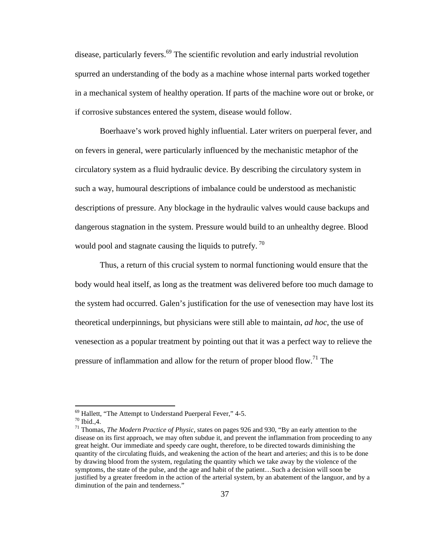disease, particularly fevers.<sup>69</sup> The scientific revolution and early industrial revolution spurred an understanding of the body as a machine whose internal parts worked together in a mechanical system of healthy operation. If parts of the machine wore out or broke, or if corrosive substances entered the system, disease would follow.

Boerhaave's work proved highly influential. Later writers on puerperal fever, and on fevers in general, were particularly influenced by the mechanistic metaphor of the circulatory system as a fluid hydraulic device. By describing the circulatory system in such a way, humoural descriptions of imbalance could be understood as mechanistic descriptions of pressure. Any blockage in the hydraulic valves would cause backups and dangerous stagnation in the system. Pressure would build to an unhealthy degree. Blood would pool and stagnate causing the liquids to putrefy.<sup>70</sup>

Thus, a return of this crucial system to normal functioning would ensure that the body would heal itself, as long as the treatment was delivered before too much damage to the system had occurred. Galen's justification for the use of venesection may have lost its theoretical underpinnings, but physicians were still able to maintain, *ad hoc*, the use of venesection as a popular treatment by pointing out that it was a perfect way to relieve the pressure of inflammation and allow for the return of proper blood flow.<sup>71</sup> The

 $69$  Hallett, "The Attempt to Understand Puerperal Fever," 4-5.

 $70$  Ibid., 4.

<sup>71</sup> Thomas, *The Modern Practice of Physic,* states on pages 926 and 930, "By an early attention to the disease on its first approach, we may often subdue it, and prevent the inflammation from proceeding to any great height. Our immediate and speedy care ought, therefore, to be directed towards diminishing the quantity of the circulating fluids, and weakening the action of the heart and arteries; and this is to be done by drawing blood from the system, regulating the quantity which we take away by the violence of the symptoms, the state of the pulse, and the age and habit of the patient…Such a decision will soon be justified by a greater freedom in the action of the arterial system, by an abatement of the languor, and by a diminution of the pain and tenderness."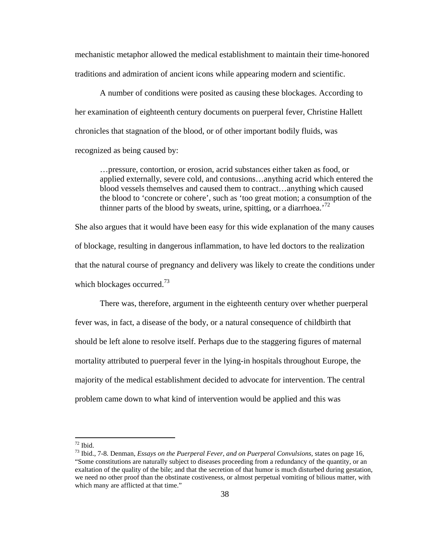mechanistic metaphor allowed the medical establishment to maintain their time-honored traditions and admiration of ancient icons while appearing modern and scientific.

A number of conditions were posited as causing these blockages. According to her examination of eighteenth century documents on puerperal fever, Christine Hallett chronicles that stagnation of the blood, or of other important bodily fluids, was recognized as being caused by:

…pressure, contortion, or erosion, acrid substances either taken as food, or applied externally, severe cold, and contusions…anything acrid which entered the blood vessels themselves and caused them to contract…anything which caused the blood to 'concrete or cohere', such as 'too great motion; a consumption of the thinner parts of the blood by sweats, urine, spitting, or a diarrhoea.<sup>72</sup>

She also argues that it would have been easy for this wide explanation of the many causes of blockage, resulting in dangerous inflammation, to have led doctors to the realization that the natural course of pregnancy and delivery was likely to create the conditions under which blockages occurred.<sup>73</sup>

There was, therefore, argument in the eighteenth century over whether puerperal fever was, in fact, a disease of the body, or a natural consequence of childbirth that should be left alone to resolve itself. Perhaps due to the staggering figures of maternal mortality attributed to puerperal fever in the lying-in hospitals throughout Europe, the majority of the medical establishment decided to advocate for intervention. The central problem came down to what kind of intervention would be applied and this was

 $72$  Ibid.

<sup>73</sup> Ibid., 7-8. Denman, *Essays on the Puerperal Fever, and on Puerperal Convulsions,* states on page 16, "Some constitutions are naturally subject to diseases proceeding from a redundancy of the quantity, or an exaltation of the quality of the bile; and that the secretion of that humor is much disturbed during gestation, we need no other proof than the obstinate costiveness, or almost perpetual vomiting of bilious matter, with which many are afflicted at that time."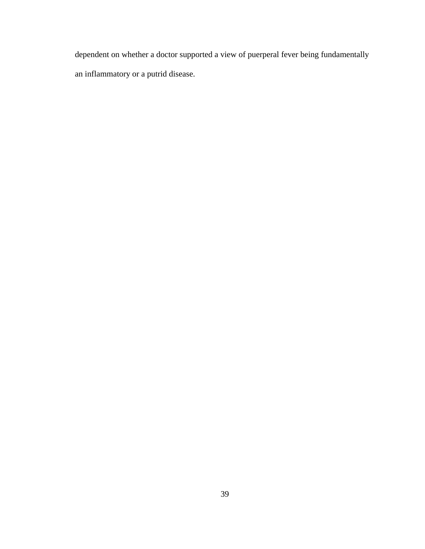dependent on whether a doctor supported a view of puerperal fever being fundamentally an inflammatory or a putrid disease.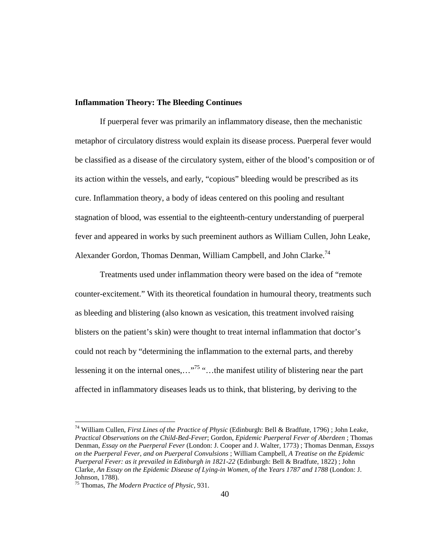## **Inflammation Theory: The Bleeding Continues**

If puerperal fever was primarily an inflammatory disease, then the mechanistic metaphor of circulatory distress would explain its disease process. Puerperal fever would be classified as a disease of the circulatory system, either of the blood's composition or of its action within the vessels, and early, "copious" bleeding would be prescribed as its cure. Inflammation theory, a body of ideas centered on this pooling and resultant stagnation of blood, was essential to the eighteenth-century understanding of puerperal fever and appeared in works by such preeminent authors as William Cullen, John Leake, Alexander Gordon, Thomas Denman, William Campbell, and John Clarke.<sup>74</sup>

Treatments used under inflammation theory were based on the idea of "remote counter-excitement." With its theoretical foundation in humoural theory, treatments such as bleeding and blistering (also known as vesication, this treatment involved raising blisters on the patient's skin) were thought to treat internal inflammation that doctor's could not reach by "determining the inflammation to the external parts, and thereby lessening it on the internal ones,..."<sup>75</sup> "...the manifest utility of blistering near the part affected in inflammatory diseases leads us to think, that blistering, by deriving to the

<sup>74</sup> William Cullen, *First Lines of the Practice of Physic* (Edinburgh: Bell & Bradfute, 1796) ; John Leake, *Practical Observations on the Child-Bed-Fever*; Gordon, *Epidemic Puerperal Fever of Aberdeen* ; Thomas Denman, *Essay on the Puerperal Fever* (London: J. Cooper and J. Walter, 1773) ; Thomas Denman, *Essays on the Puerperal Fever, and on Puerperal Convulsions* ; William Campbell, *A Treatise on the Epidemic Puerperal Fever: as it prevailed in Edinburgh in 1821-22* (Edinburgh: Bell & Bradfute, 1822) ; John Clarke, *An Essay on the Epidemic Disease of Lying-in Women, of the Years 1787 and 1788* (London: J. Johnson, 1788).

<sup>75</sup> Thomas, *The Modern Practice of Physic,* 931.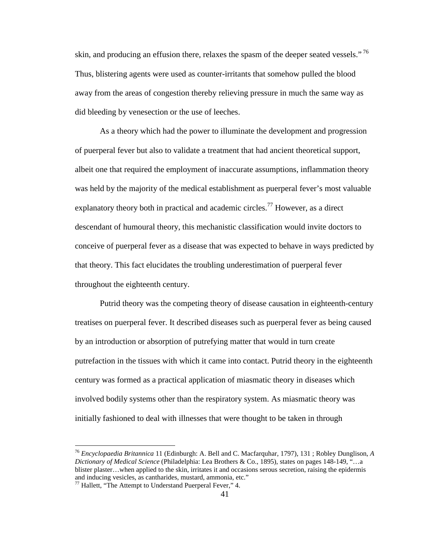skin, and producing an effusion there, relaxes the spasm of the deeper seated vessels."<sup>76</sup> Thus, blistering agents were used as counter-irritants that somehow pulled the blood away from the areas of congestion thereby relieving pressure in much the same way as did bleeding by venesection or the use of leeches.

As a theory which had the power to illuminate the development and progression of puerperal fever but also to validate a treatment that had ancient theoretical support, albeit one that required the employment of inaccurate assumptions, inflammation theory was held by the majority of the medical establishment as puerperal fever's most valuable explanatory theory both in practical and academic circles.<sup>77</sup> However, as a direct descendant of humoural theory, this mechanistic classification would invite doctors to conceive of puerperal fever as a disease that was expected to behave in ways predicted by that theory. This fact elucidates the troubling underestimation of puerperal fever throughout the eighteenth century.

Putrid theory was the competing theory of disease causation in eighteenth-century treatises on puerperal fever. It described diseases such as puerperal fever as being caused by an introduction or absorption of putrefying matter that would in turn create putrefaction in the tissues with which it came into contact. Putrid theory in the eighteenth century was formed as a practical application of miasmatic theory in diseases which involved bodily systems other than the respiratory system. As miasmatic theory was initially fashioned to deal with illnesses that were thought to be taken in through

<sup>76</sup> *Encyclopaedia Britannica* 11 (Edinburgh: A. Bell and C. Macfarquhar, 1797), 131 ; Robley Dunglison, *A Dictionary of Medical Science* (Philadelphia: Lea Brothers & Co., 1895), states on pages 148-149, "…a blister plaster…when applied to the skin, irritates it and occasions serous secretion, raising the epidermis and inducing vesicles, as cantharides, mustard, ammonia, etc."

<sup>&</sup>lt;sup>77</sup> Hallett, "The Attempt to Understand Puerperal Fever," 4.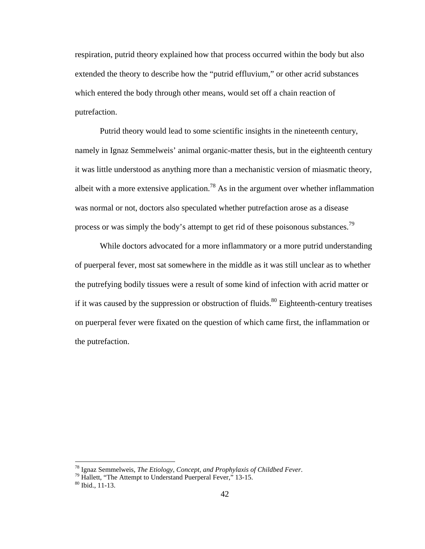respiration, putrid theory explained how that process occurred within the body but also extended the theory to describe how the "putrid effluvium," or other acrid substances which entered the body through other means, would set off a chain reaction of putrefaction.

Putrid theory would lead to some scientific insights in the nineteenth century, namely in Ignaz Semmelweis' animal organic-matter thesis, but in the eighteenth century it was little understood as anything more than a mechanistic version of miasmatic theory, albeit with a more extensive application.<sup>78</sup> As in the argument over whether inflammation was normal or not, doctors also speculated whether putrefaction arose as a disease process or was simply the body's attempt to get rid of these poisonous substances.<sup>79</sup>

While doctors advocated for a more inflammatory or a more putrid understanding of puerperal fever, most sat somewhere in the middle as it was still unclear as to whether the putrefying bodily tissues were a result of some kind of infection with acrid matter or if it was caused by the suppression or obstruction of fluids.<sup>80</sup> Eighteenth-century treatises on puerperal fever were fixated on the question of which came first, the inflammation or the putrefaction.

<sup>78</sup> Ignaz Semmelweis, *The Etiology, Concept, and Prophylaxis of Childbed Fever*.

<sup>&</sup>lt;sup>79</sup> Hallett, "The Attempt to Understand Puerperal Fever," 13-15.

<sup>80</sup> Ibid., 11-13.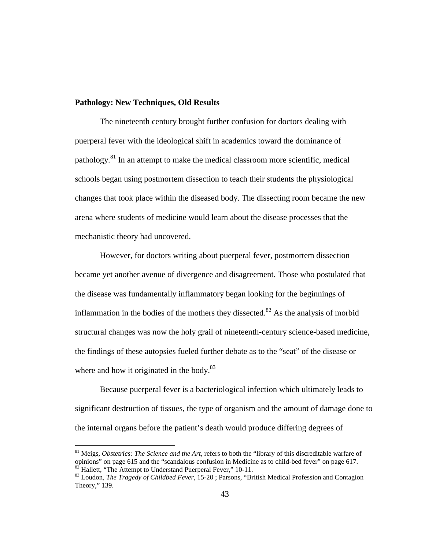## **Pathology: New Techniques, Old Results**

The nineteenth century brought further confusion for doctors dealing with puerperal fever with the ideological shift in academics toward the dominance of pathology.<sup>81</sup> In an attempt to make the medical classroom more scientific, medical schools began using postmortem dissection to teach their students the physiological changes that took place within the diseased body. The dissecting room became the new arena where students of medicine would learn about the disease processes that the mechanistic theory had uncovered.

However, for doctors writing about puerperal fever, postmortem dissection became yet another avenue of divergence and disagreement. Those who postulated that the disease was fundamentally inflammatory began looking for the beginnings of inflammation in the bodies of the mothers they dissected.<sup>82</sup> As the analysis of morbid structural changes was now the holy grail of nineteenth-century science-based medicine, the findings of these autopsies fueled further debate as to the "seat" of the disease or where and how it originated in the body.<sup>83</sup>

Because puerperal fever is a bacteriological infection which ultimately leads to significant destruction of tissues, the type of organism and the amount of damage done to the internal organs before the patient's death would produce differing degrees of

<sup>&</sup>lt;sup>81</sup> Meigs, *Obstetrics: The Science and the Art*, refers to both the "library of this discreditable warfare of opinions" on page 615 and the "scandalous confusion in Medicine as to child-bed fever" on page 617.  $82$ <sup>82</sup> Hallett, "The Attempt to Understand Puerperal Fever," 10-11.

<sup>83</sup> Loudon, *The Tragedy of Childbed Fever*, 15-20 ; Parsons, "British Medical Profession and Contagion Theory," 139.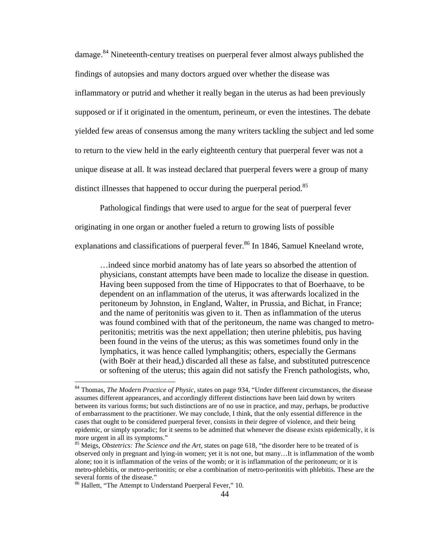damage.<sup>84</sup> Nineteenth-century treatises on puerperal fever almost always published the findings of autopsies and many doctors argued over whether the disease was inflammatory or putrid and whether it really began in the uterus as had been previously supposed or if it originated in the omentum, perineum, or even the intestines. The debate yielded few areas of consensus among the many writers tackling the subject and led some to return to the view held in the early eighteenth century that puerperal fever was not a unique disease at all. It was instead declared that puerperal fevers were a group of many distinct illnesses that happened to occur during the puerperal period.<sup>85</sup>

Pathological findings that were used to argue for the seat of puerperal fever

originating in one organ or another fueled a return to growing lists of possible

explanations and classifications of puerperal fever.<sup>86</sup> In 1846, Samuel Kneeland wrote,

…indeed since morbid anatomy has of late years so absorbed the attention of physicians, constant attempts have been made to localize the disease in question. Having been supposed from the time of Hippocrates to that of Boerhaave, to be dependent on an inflammation of the uterus, it was afterwards localized in the peritoneum by Johnston, in England, Walter, in Prussia, and Bichat, in France; and the name of peritonitis was given to it. Then as inflammation of the uterus was found combined with that of the peritoneum, the name was changed to metroperitonitis; metritis was the next appellation; then uterine phlebitis, pus having been found in the veins of the uterus; as this was sometimes found only in the lymphatics, it was hence called lymphangitis; others, especially the Germans (with Boër at their head,) discarded all these as false, and substituted putrescence or softening of the uterus; this again did not satisfy the French pathologists, who,

<sup>84</sup> Thomas, *The Modern Practice of Physic,* states on page 934, "Under different circumstances, the disease assumes different appearances, and accordingly different distinctions have been laid down by writers between its various forms; but such distinctions are of no use in practice, and may, perhaps, be productive of embarrassment to the practitioner. We may conclude, I think, that the only essential difference in the cases that ought to be considered puerperal fever, consists in their degree of violence, and their being epidemic, or simply sporadic; for it seems to be admitted that whenever the disease exists epidemically, it is more urgent in all its symptoms."

<sup>85</sup> Meigs, *Obstetrics: The Science and the Art,* states on page 618, "the disorder here to be treated of is observed only in pregnant and lying-in women; yet it is not one, but many…It is inflammation of the womb alone; too it is inflammation of the veins of the womb; or it is inflammation of the peritoneum; or it is metro-phlebitis, or metro-peritonitis; or else a combination of metro-peritonitis with phlebitis. These are the several forms of the disease."

<sup>86</sup> Hallett, "The Attempt to Understand Puerperal Fever," 10.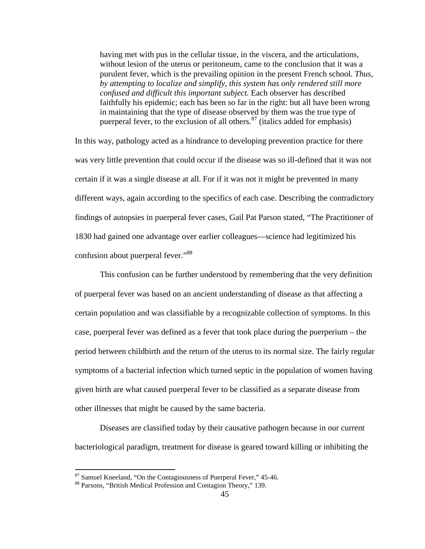having met with pus in the cellular tissue, in the viscera, and the articulations, without lesion of the uterus or peritoneum, came to the conclusion that it was a purulent fever, which is the prevailing opinion in the present French school. *Thus, by attempting to localize and simplify, this system has only rendered still more confused and difficult this important subject.* Each observer has described faithfully his epidemic; each has been so far in the right: but all have been wrong in maintaining that the type of disease observed by them was the true type of puerperal fever, to the exclusion of all others.<sup>87</sup> (italics added for emphasis)

In this way, pathology acted as a hindrance to developing prevention practice for there was very little prevention that could occur if the disease was so ill-defined that it was not certain if it was a single disease at all. For if it was not it might be prevented in many different ways, again according to the specifics of each case. Describing the contradictory findings of autopsies in puerperal fever cases, Gail Pat Parson stated, "The Practitioner of 1830 had gained one advantage over earlier colleagues—science had legitimized his confusion about puerperal fever."<sup>88</sup>

This confusion can be further understood by remembering that the very definition of puerperal fever was based on an ancient understanding of disease as that affecting a certain population and was classifiable by a recognizable collection of symptoms. In this case, puerperal fever was defined as a fever that took place during the puerperium – the period between childbirth and the return of the uterus to its normal size. The fairly regular symptoms of a bacterial infection which turned septic in the population of women having given birth are what caused puerperal fever to be classified as a separate disease from other illnesses that might be caused by the same bacteria.

Diseases are classified today by their causative pathogen because in our current bacteriological paradigm, treatment for disease is geared toward killing or inhibiting the

<sup>&</sup>lt;sup>87</sup> Samuel Kneeland, "On the Contagiousness of Puerperal Fever," 45-46.

<sup>88</sup> Parsons, "British Medical Profession and Contagion Theory," 139.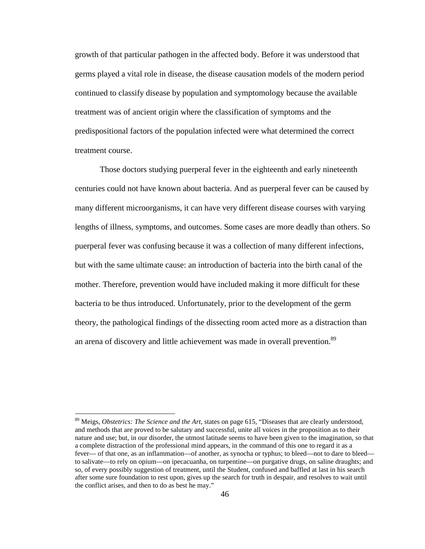growth of that particular pathogen in the affected body. Before it was understood that germs played a vital role in disease, the disease causation models of the modern period continued to classify disease by population and symptomology because the available treatment was of ancient origin where the classification of symptoms and the predispositional factors of the population infected were what determined the correct treatment course.

Those doctors studying puerperal fever in the eighteenth and early nineteenth centuries could not have known about bacteria. And as puerperal fever can be caused by many different microorganisms, it can have very different disease courses with varying lengths of illness, symptoms, and outcomes. Some cases are more deadly than others. So puerperal fever was confusing because it was a collection of many different infections, but with the same ultimate cause: an introduction of bacteria into the birth canal of the mother. Therefore, prevention would have included making it more difficult for these bacteria to be thus introduced. Unfortunately, prior to the development of the germ theory, the pathological findings of the dissecting room acted more as a distraction than an arena of discovery and little achievement was made in overall prevention.<sup>89</sup>

<sup>89</sup> Meigs, *Obstetrics: The Science and the Art*, states on page 615, "Diseases that are clearly understood, and methods that are proved to be salutary and successful, unite all voices in the proposition as to their nature and use; but, in our disorder, the utmost latitude seems to have been given to the imagination, so that a complete distraction of the professional mind appears, in the command of this one to regard it as a fever— of that one, as an inflammation—of another, as synocha or typhus; to bleed—not to dare to bleed to salivate—to rely on opium—on ipecacuanha, on turpentine—on purgative drugs, on saline draughts; and so, of every possibly suggestion of treatment, until the Student, confused and baffled at last in his search after some sure foundation to rest upon, gives up the search for truth in despair, and resolves to wait until the conflict arises, and then to do as best he may."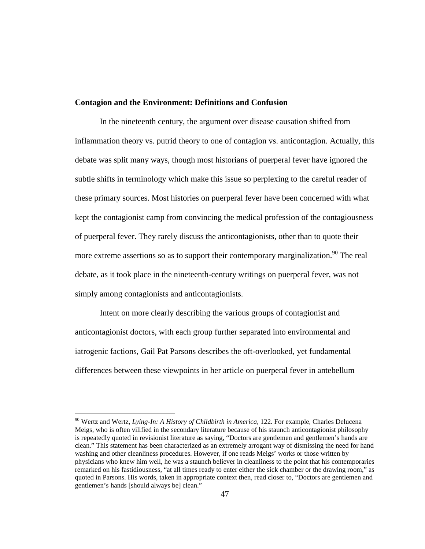### **Contagion and the Environment: Definitions and Confusion**

In the nineteenth century, the argument over disease causation shifted from inflammation theory vs. putrid theory to one of contagion vs. anticontagion. Actually, this debate was split many ways, though most historians of puerperal fever have ignored the subtle shifts in terminology which make this issue so perplexing to the careful reader of these primary sources. Most histories on puerperal fever have been concerned with what kept the contagionist camp from convincing the medical profession of the contagiousness of puerperal fever. They rarely discuss the anticontagionists, other than to quote their more extreme assertions so as to support their contemporary marginalization.<sup>90</sup> The real debate, as it took place in the nineteenth-century writings on puerperal fever, was not simply among contagionists and anticontagionists.

Intent on more clearly describing the various groups of contagionist and anticontagionist doctors, with each group further separated into environmental and iatrogenic factions, Gail Pat Parsons describes the oft-overlooked, yet fundamental differences between these viewpoints in her article on puerperal fever in antebellum

<sup>90</sup> Wertz and Wertz, *Lying-In: A History of Childbirth in America,* 122. For example, Charles Delucena Meigs, who is often vilified in the secondary literature because of his staunch anticontagionist philosophy is repeatedly quoted in revisionist literature as saying, "Doctors are gentlemen and gentlemen's hands are clean." This statement has been characterized as an extremely arrogant way of dismissing the need for hand washing and other cleanliness procedures. However, if one reads Meigs' works or those written by physicians who knew him well, he was a staunch believer in cleanliness to the point that his contemporaries remarked on his fastidiousness, "at all times ready to enter either the sick chamber or the drawing room," as quoted in Parsons. His words, taken in appropriate context then, read closer to, "Doctors are gentlemen and gentlemen's hands [should always be] clean."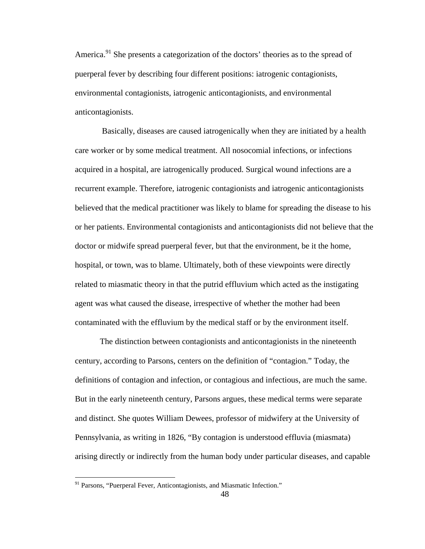America.<sup>91</sup> She presents a categorization of the doctors' theories as to the spread of puerperal fever by describing four different positions: iatrogenic contagionists, environmental contagionists, iatrogenic anticontagionists, and environmental anticontagionists.

Basically, diseases are caused iatrogenically when they are initiated by a health care worker or by some medical treatment. All nosocomial infections, or infections acquired in a hospital, are iatrogenically produced. Surgical wound infections are a recurrent example. Therefore, iatrogenic contagionists and iatrogenic anticontagionists believed that the medical practitioner was likely to blame for spreading the disease to his or her patients. Environmental contagionists and anticontagionists did not believe that the doctor or midwife spread puerperal fever, but that the environment, be it the home, hospital, or town, was to blame. Ultimately, both of these viewpoints were directly related to miasmatic theory in that the putrid effluvium which acted as the instigating agent was what caused the disease, irrespective of whether the mother had been contaminated with the effluvium by the medical staff or by the environment itself.

The distinction between contagionists and anticontagionists in the nineteenth century, according to Parsons, centers on the definition of "contagion." Today, the definitions of contagion and infection, or contagious and infectious, are much the same. But in the early nineteenth century, Parsons argues, these medical terms were separate and distinct. She quotes William Dewees, professor of midwifery at the University of Pennsylvania, as writing in 1826, "By contagion is understood effluvia (miasmata) arising directly or indirectly from the human body under particular diseases, and capable

<sup>&</sup>lt;sup>91</sup> Parsons, "Puerperal Fever, Anticontagionists, and Miasmatic Infection."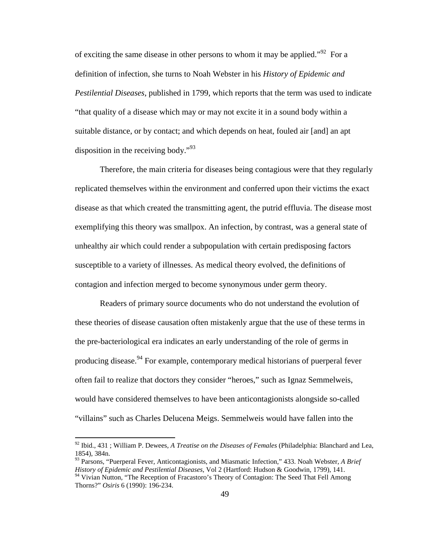of exciting the same disease in other persons to whom it may be applied."<sup>92</sup> For a definition of infection, she turns to Noah Webster in his *History of Epidemic and Pestilential Diseases*, published in 1799, which reports that the term was used to indicate "that quality of a disease which may or may not excite it in a sound body within a suitable distance, or by contact; and which depends on heat, fouled air [and] an apt disposition in the receiving body."<sup>93</sup>

Therefore, the main criteria for diseases being contagious were that they regularly replicated themselves within the environment and conferred upon their victims the exact disease as that which created the transmitting agent, the putrid effluvia. The disease most exemplifying this theory was smallpox. An infection, by contrast, was a general state of unhealthy air which could render a subpopulation with certain predisposing factors susceptible to a variety of illnesses. As medical theory evolved, the definitions of contagion and infection merged to become synonymous under germ theory.

Readers of primary source documents who do not understand the evolution of these theories of disease causation often mistakenly argue that the use of these terms in the pre-bacteriological era indicates an early understanding of the role of germs in producing disease.<sup>94</sup> For example, contemporary medical historians of puerperal fever often fail to realize that doctors they consider "heroes," such as Ignaz Semmelweis, would have considered themselves to have been anticontagionists alongside so-called "villains" such as Charles Delucena Meigs. Semmelweis would have fallen into the

<sup>92</sup> Ibid., 431 ; William P. Dewees, *A Treatise on the Diseases of Females* (Philadelphia: Blanchard and Lea, 1854), 384n.

<sup>93</sup> Parsons, "Puerperal Fever, Anticontagionists, and Miasmatic Infection," 433. Noah Webster, *A Brief History of Epidemic and Pestilential Diseases*, Vol 2 (Hartford: Hudson & Goodwin, 1799), 141. <sup>94</sup> Vivian Nutton, "The Reception of Fracastoro's Theory of Contagion: The Seed That Fell Among

Thorns?" *Osiris* 6 (1990): 196-234.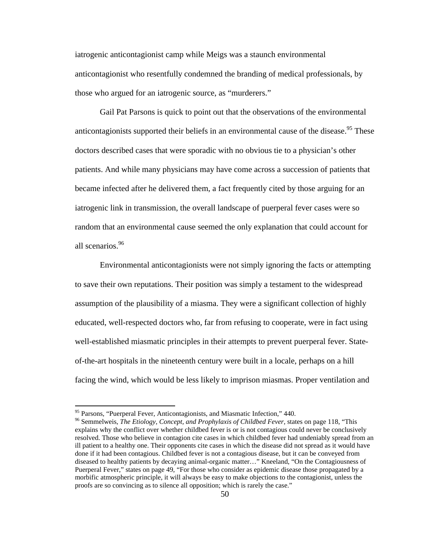iatrogenic anticontagionist camp while Meigs was a staunch environmental anticontagionist who resentfully condemned the branding of medical professionals, by those who argued for an iatrogenic source, as "murderers."

Gail Pat Parsons is quick to point out that the observations of the environmental anticontagionists supported their beliefs in an environmental cause of the disease.<sup>95</sup> These doctors described cases that were sporadic with no obvious tie to a physician's other patients. And while many physicians may have come across a succession of patients that became infected after he delivered them, a fact frequently cited by those arguing for an iatrogenic link in transmission, the overall landscape of puerperal fever cases were so random that an environmental cause seemed the only explanation that could account for all scenarios.<sup>96</sup>

Environmental anticontagionists were not simply ignoring the facts or attempting to save their own reputations. Their position was simply a testament to the widespread assumption of the plausibility of a miasma. They were a significant collection of highly educated, well-respected doctors who, far from refusing to cooperate, were in fact using well-established miasmatic principles in their attempts to prevent puerperal fever. Stateof-the-art hospitals in the nineteenth century were built in a locale, perhaps on a hill facing the wind, which would be less likely to imprison miasmas. Proper ventilation and

<sup>&</sup>lt;sup>95</sup> Parsons, "Puerperal Fever, Anticontagionists, and Miasmatic Infection," 440.

<sup>96</sup> Semmelweis, *The Etiology, Concept, and Prophylaxis of Childbed Fever,* states on page 118, "This explains why the conflict over whether childbed fever is or is not contagious could never be conclusively resolved. Those who believe in contagion cite cases in which childbed fever had undeniably spread from an ill patient to a healthy one. Their opponents cite cases in which the disease did not spread as it would have done if it had been contagious. Childbed fever is not a contagious disease, but it can be conveyed from diseased to healthy patients by decaying animal-organic matter…" Kneeland, "On the Contagiousness of Puerperal Fever," states on page 49, "For those who consider as epidemic disease those propagated by a morbific atmospheric principle, it will always be easy to make objections to the contagionist, unless the proofs are so convincing as to silence all opposition; which is rarely the case."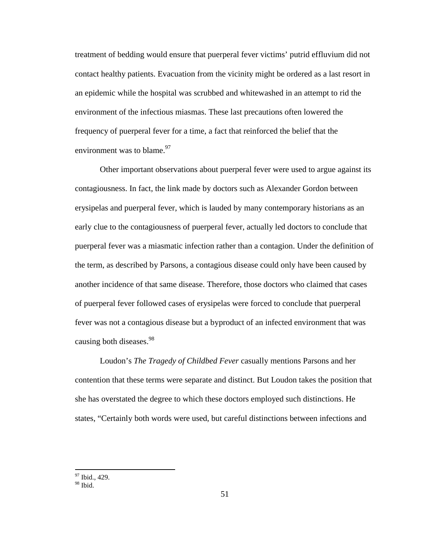treatment of bedding would ensure that puerperal fever victims' putrid effluvium did not contact healthy patients. Evacuation from the vicinity might be ordered as a last resort in an epidemic while the hospital was scrubbed and whitewashed in an attempt to rid the environment of the infectious miasmas. These last precautions often lowered the frequency of puerperal fever for a time, a fact that reinforced the belief that the environment was to blame. $97$ 

Other important observations about puerperal fever were used to argue against its contagiousness. In fact, the link made by doctors such as Alexander Gordon between erysipelas and puerperal fever, which is lauded by many contemporary historians as an early clue to the contagiousness of puerperal fever, actually led doctors to conclude that puerperal fever was a miasmatic infection rather than a contagion. Under the definition of the term, as described by Parsons, a contagious disease could only have been caused by another incidence of that same disease. Therefore, those doctors who claimed that cases of puerperal fever followed cases of erysipelas were forced to conclude that puerperal fever was not a contagious disease but a byproduct of an infected environment that was causing both diseases.<sup>98</sup>

Loudon's *The Tragedy of Childbed Fever* casually mentions Parsons and her contention that these terms were separate and distinct. But Loudon takes the position that she has overstated the degree to which these doctors employed such distinctions. He states, "Certainly both words were used, but careful distinctions between infections and

<sup>&</sup>lt;sup>97</sup> Ibid., 429.

 $98$  Ibid.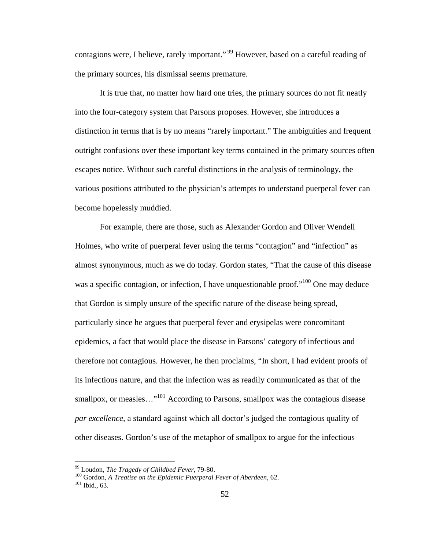contagions were, I believe, rarely important."<sup>99</sup> However, based on a careful reading of the primary sources, his dismissal seems premature.

It is true that, no matter how hard one tries, the primary sources do not fit neatly into the four-category system that Parsons proposes. However, she introduces a distinction in terms that is by no means "rarely important." The ambiguities and frequent outright confusions over these important key terms contained in the primary sources often escapes notice. Without such careful distinctions in the analysis of terminology, the various positions attributed to the physician's attempts to understand puerperal fever can become hopelessly muddied.

For example, there are those, such as Alexander Gordon and Oliver Wendell Holmes, who write of puerperal fever using the terms "contagion" and "infection" as almost synonymous, much as we do today. Gordon states, "That the cause of this disease was a specific contagion, or infection, I have unquestionable proof."<sup>100</sup> One may deduce that Gordon is simply unsure of the specific nature of the disease being spread, particularly since he argues that puerperal fever and erysipelas were concomitant epidemics, a fact that would place the disease in Parsons' category of infectious and therefore not contagious. However, he then proclaims, "In short, I had evident proofs of its infectious nature, and that the infection was as readily communicated as that of the smallpox, or measles...<sup>"101</sup> According to Parsons, smallpox was the contagious disease *par excellence*, a standard against which all doctor's judged the contagious quality of other diseases. Gordon's use of the metaphor of smallpox to argue for the infectious

<sup>99</sup> Loudon, *The Tragedy of Childbed Fever*, 79-80.

<sup>100</sup> Gordon, *A Treatise on the Epidemic Puerperal Fever of Aberdeen*, 62.

<sup>101</sup> Ibid., 63.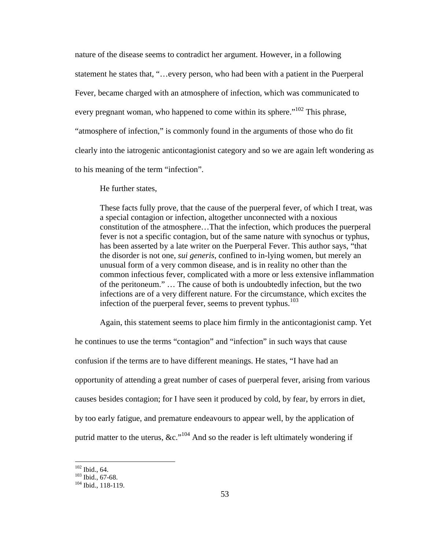nature of the disease seems to contradict her argument. However, in a following statement he states that, "…every person, who had been with a patient in the Puerperal Fever, became charged with an atmosphere of infection, which was communicated to every pregnant woman, who happened to come within its sphere."<sup>102</sup> This phrase, "atmosphere of infection," is commonly found in the arguments of those who do fit clearly into the iatrogenic anticontagionist category and so we are again left wondering as to his meaning of the term "infection".

He further states,

These facts fully prove, that the cause of the puerperal fever, of which I treat, was a special contagion or infection, altogether unconnected with a noxious constitution of the atmosphere…That the infection, which produces the puerperal fever is not a specific contagion, but of the same nature with synochus or typhus, has been asserted by a late writer on the Puerperal Fever. This author says, "that the disorder is not one, *sui generis*, confined to in-lying women, but merely an unusual form of a very common disease, and is in reality no other than the common infectious fever, complicated with a more or less extensive inflammation of the peritoneum." … The cause of both is undoubtedly infection, but the two infections are of a very different nature. For the circumstance, which excites the infection of the puerperal fever, seems to prevent typhus.<sup>103</sup>

Again, this statement seems to place him firmly in the anticontagionist camp. Yet

he continues to use the terms "contagion" and "infection" in such ways that cause confusion if the terms are to have different meanings. He states, "I have had an opportunity of attending a great number of cases of puerperal fever, arising from various causes besides contagion; for I have seen it produced by cold, by fear, by errors in diet, by too early fatigue, and premature endeavours to appear well, by the application of putrid matter to the uterus,  $\&c.^{104}$  And so the reader is left ultimately wondering if

<sup>102</sup> Ibid., 64.

<sup>103</sup> Ibid., 67-68.

 $104$  Ibid., 118-119.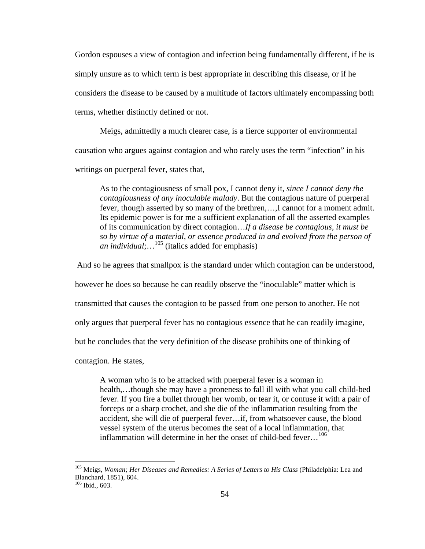Gordon espouses a view of contagion and infection being fundamentally different, if he is simply unsure as to which term is best appropriate in describing this disease, or if he considers the disease to be caused by a multitude of factors ultimately encompassing both terms, whether distinctly defined or not.

Meigs, admittedly a much clearer case, is a fierce supporter of environmental causation who argues against contagion and who rarely uses the term "infection" in his writings on puerperal fever, states that,

As to the contagiousness of small pox, I cannot deny it, *since I cannot deny the contagiousness of any inoculable malady*. But the contagious nature of puerperal fever, though asserted by so many of the brethren,…,I cannot for a moment admit. Its epidemic power is for me a sufficient explanation of all the asserted examples of its communication by direct contagion…*If a disease be contagious, it must be so by virtue of a material, or essence produced in and evolved from the person of an individual*;…<sup>105</sup> (italics added for emphasis)

And so he agrees that smallpox is the standard under which contagion can be understood,

however he does so because he can readily observe the "inoculable" matter which is

transmitted that causes the contagion to be passed from one person to another. He not

only argues that puerperal fever has no contagious essence that he can readily imagine,

but he concludes that the very definition of the disease prohibits one of thinking of

contagion. He states,

A woman who is to be attacked with puerperal fever is a woman in health,…though she may have a proneness to fall ill with what you call child-bed fever. If you fire a bullet through her womb, or tear it, or contuse it with a pair of forceps or a sharp crochet, and she die of the inflammation resulting from the accident, she will die of puerperal fever…if, from whatsoever cause, the blood vessel system of the uterus becomes the seat of a local inflammation, that inflammation will determine in her the onset of child-bed fever...<sup>106</sup>

<sup>105</sup> Meigs, *Woman; Her Diseases and Remedies: A Series of Letters to His Class* (Philadelphia: Lea and Blanchard, 1851), 604.

<sup>106</sup> Ibid., 603.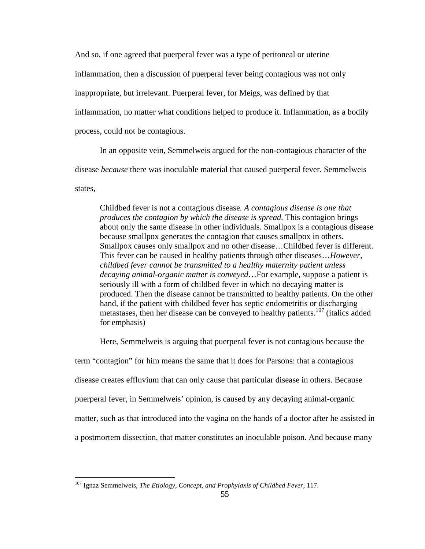And so, if one agreed that puerperal fever was a type of peritoneal or uterine inflammation, then a discussion of puerperal fever being contagious was not only inappropriate, but irrelevant. Puerperal fever, for Meigs, was defined by that inflammation, no matter what conditions helped to produce it. Inflammation, as a bodily process, could not be contagious.

In an opposite vein, Semmelweis argued for the non-contagious character of the disease *because* there was inoculable material that caused puerperal fever. Semmelweis states,

Childbed fever is not a contagious disease*. A contagious disease is one that produces the contagion by which the disease is spread.* This contagion brings about only the same disease in other individuals. Smallpox is a contagious disease because smallpox generates the contagion that causes smallpox in others. Smallpox causes only smallpox and no other disease…Childbed fever is different. This fever can be caused in healthy patients through other diseases…*However, childbed fever cannot be transmitted to a healthy maternity patient unless decaying animal-organic matter is conveyed*…For example, suppose a patient is seriously ill with a form of childbed fever in which no decaying matter is produced. Then the disease cannot be transmitted to healthy patients. On the other hand, if the patient with childbed fever has septic endometritis or discharging metastases, then her disease can be conveyed to healthy patients.<sup>107</sup> (italics added for emphasis)

Here, Semmelweis is arguing that puerperal fever is not contagious because the

term "contagion" for him means the same that it does for Parsons: that a contagious disease creates effluvium that can only cause that particular disease in others. Because puerperal fever, in Semmelweis' opinion, is caused by any decaying animal-organic matter, such as that introduced into the vagina on the hands of a doctor after he assisted in a postmortem dissection, that matter constitutes an inoculable poison. And because many

<sup>107</sup> Ignaz Semmelweis, *The Etiology, Concept, and Prophylaxis of Childbed Fever*, 117.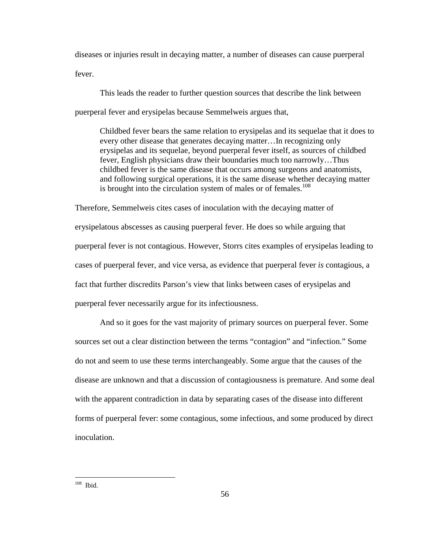diseases or injuries result in decaying matter, a number of diseases can cause puerperal fever.

This leads the reader to further question sources that describe the link between puerperal fever and erysipelas because Semmelweis argues that,

Childbed fever bears the same relation to erysipelas and its sequelae that it does to every other disease that generates decaying matter…In recognizing only erysipelas and its sequelae, beyond puerperal fever itself, as sources of childbed fever, English physicians draw their boundaries much too narrowly…Thus childbed fever is the same disease that occurs among surgeons and anatomists, and following surgical operations, it is the same disease whether decaying matter is brought into the circulation system of males or of females.<sup>108</sup>

Therefore, Semmelweis cites cases of inoculation with the decaying matter of erysipelatous abscesses as causing puerperal fever. He does so while arguing that puerperal fever is not contagious. However, Storrs cites examples of erysipelas leading to cases of puerperal fever, and vice versa, as evidence that puerperal fever *is* contagious, a fact that further discredits Parson's view that links between cases of erysipelas and puerperal fever necessarily argue for its infectiousness.

And so it goes for the vast majority of primary sources on puerperal fever. Some sources set out a clear distinction between the terms "contagion" and "infection." Some do not and seem to use these terms interchangeably. Some argue that the causes of the disease are unknown and that a discussion of contagiousness is premature. And some deal with the apparent contradiction in data by separating cases of the disease into different forms of puerperal fever: some contagious, some infectious, and some produced by direct inoculation.

 $108$  Ibid.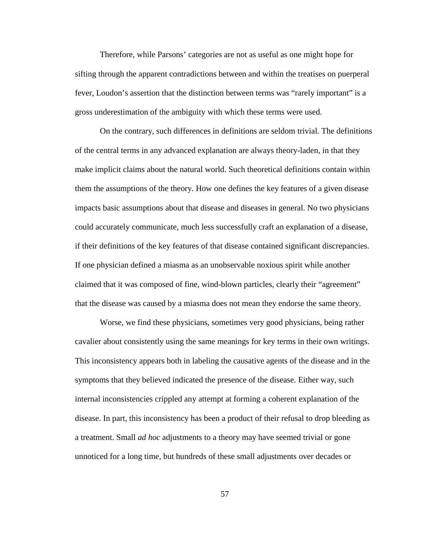Therefore, while Parsons' categories are not as useful as one might hope for sifting through the apparent contradictions between and within the treatises on puerperal fever, Loudon's assertion that the distinction between terms was "rarely important" is a gross underestimation of the ambiguity with which these terms were used.

On the contrary, such differences in definitions are seldom trivial. The definitions of the central terms in any advanced explanation are always theory-laden, in that they make implicit claims about the natural world. Such theoretical definitions contain within them the assumptions of the theory. How one defines the key features of a given disease impacts basic assumptions about that disease and diseases in general. No two physicians could accurately communicate, much less successfully craft an explanation of a disease, if their definitions of the key features of that disease contained significant discrepancies. If one physician defined a miasma as an unobservable noxious spirit while another claimed that it was composed of fine, wind-blown particles, clearly their "agreement" that the disease was caused by a miasma does not mean they endorse the same theory.

Worse, we find these physicians, sometimes very good physicians, being rather cavalier about consistently using the same meanings for key terms in their own writings. This inconsistency appears both in labeling the causative agents of the disease and in the symptoms that they believed indicated the presence of the disease. Either way, such internal inconsistencies crippled any attempt at forming a coherent explanation of the disease. In part, this inconsistency has been a product of their refusal to drop bleeding as a treatment. Small *ad hoc* adjustments to a theory may have seemed trivial or gone unnoticed for a long time, but hundreds of these small adjustments over decades or

57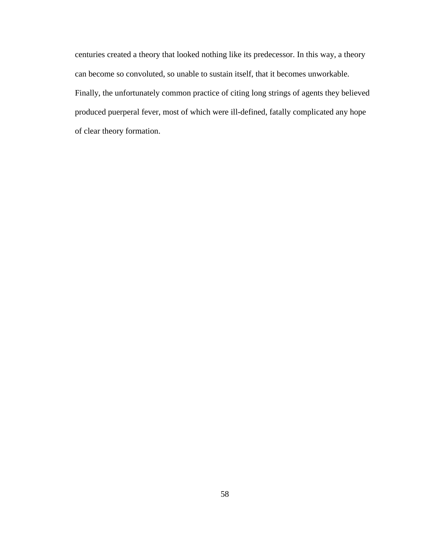centuries created a theory that looked nothing like its predecessor. In this way, a theory can become so convoluted, so unable to sustain itself, that it becomes unworkable. Finally, the unfortunately common practice of citing long strings of agents they believed produced puerperal fever, most of which were ill-defined, fatally complicated any hope of clear theory formation.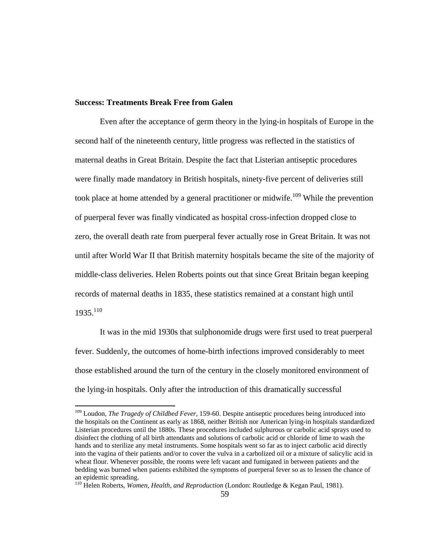### **Success: Treatments Break Free from Galen**

Even after the acceptance of germ theory in the lying-in hospitals of Europe in the second half of the nineteenth century, little progress was reflected in the statistics of maternal deaths in Great Britain. Despite the fact that Listerian antiseptic procedures were finally made mandatory in British hospitals, ninety-five percent of deliveries still took place at home attended by a general practitioner or midwife.<sup>109</sup> While the prevention of puerperal fever was finally vindicated as hospital cross-infection dropped close to zero, the overall death rate from puerperal fever actually rose in Great Britain. It was not until after World War II that British maternity hospitals became the site of the majority of middle-class deliveries. Helen Roberts points out that since Great Britain began keeping records of maternal deaths in 1835, these statistics remained at a constant high until  $1935.<sup>110</sup>$ 

It was in the mid 1930s that sulphonomide drugs were first used to treat puerperal fever. Suddenly, the outcomes of home-birth infections improved considerably to meet those established around the turn of the century in the closely monitored environment of the lying-in hospitals. Only after the introduction of this dramatically successful

<sup>109</sup> Loudon, *The Tragedy of Childbed Fever*, 159-60. Despite antiseptic procedures being introduced into the hospitals on the Continent as early as 1868, neither British nor American lying-in hospitals standardized Listerian procedures until the 1880s. These procedures included sulphurous or carbolic acid sprays used to disinfect the clothing of all birth attendants and solutions of carbolic acid or chloride of lime to wash the hands and to sterilize any metal instruments. Some hospitals went so far as to inject carbolic acid directly into the vagina of their patients and/or to cover the vulva in a carbolized oil or a mixture of salicylic acid in wheat flour. Whenever possible, the rooms were left vacant and fumigated in between patients and the bedding was burned when patients exhibited the symptoms of puerperal fever so as to lessen the chance of an epidemic spreading.

<sup>110</sup> Helen Roberts, *Women, Health, and Reproduction* (London: Routledge & Kegan Paul, 1981).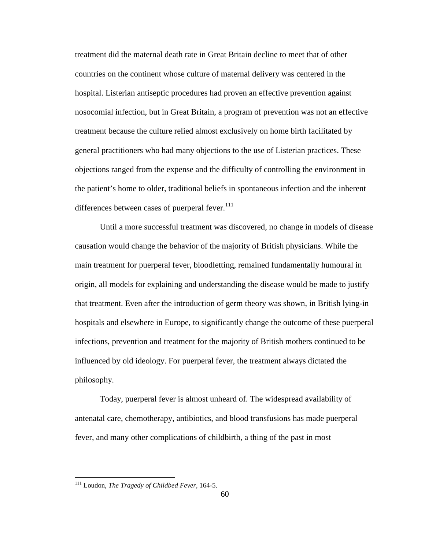treatment did the maternal death rate in Great Britain decline to meet that of other countries on the continent whose culture of maternal delivery was centered in the hospital. Listerian antiseptic procedures had proven an effective prevention against nosocomial infection, but in Great Britain, a program of prevention was not an effective treatment because the culture relied almost exclusively on home birth facilitated by general practitioners who had many objections to the use of Listerian practices. These objections ranged from the expense and the difficulty of controlling the environment in the patient's home to older, traditional beliefs in spontaneous infection and the inherent differences between cases of puerperal fever. $111$ 

Until a more successful treatment was discovered, no change in models of disease causation would change the behavior of the majority of British physicians. While the main treatment for puerperal fever, bloodletting, remained fundamentally humoural in origin, all models for explaining and understanding the disease would be made to justify that treatment. Even after the introduction of germ theory was shown, in British lying-in hospitals and elsewhere in Europe, to significantly change the outcome of these puerperal infections, prevention and treatment for the majority of British mothers continued to be influenced by old ideology. For puerperal fever, the treatment always dictated the philosophy.

Today, puerperal fever is almost unheard of. The widespread availability of antenatal care, chemotherapy, antibiotics, and blood transfusions has made puerperal fever, and many other complications of childbirth, a thing of the past in most

<sup>111</sup> Loudon, *The Tragedy of Childbed Fever,* 164-5.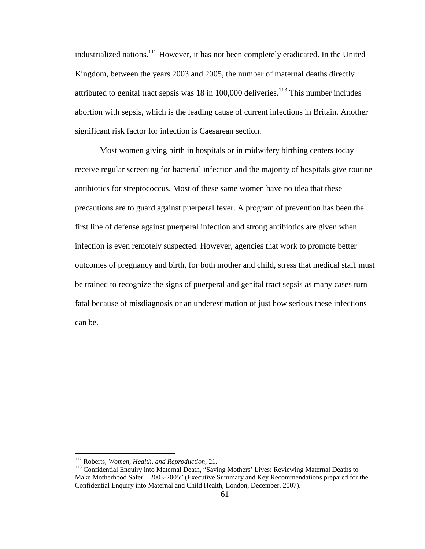industrialized nations.<sup>112</sup> However, it has not been completely eradicated. In the United Kingdom, between the years 2003 and 2005, the number of maternal deaths directly attributed to genital tract sepsis was  $18$  in  $100,000$  deliveries.<sup>113</sup> This number includes abortion with sepsis, which is the leading cause of current infections in Britain. Another significant risk factor for infection is Caesarean section.

Most women giving birth in hospitals or in midwifery birthing centers today receive regular screening for bacterial infection and the majority of hospitals give routine antibiotics for streptococcus. Most of these same women have no idea that these precautions are to guard against puerperal fever. A program of prevention has been the first line of defense against puerperal infection and strong antibiotics are given when infection is even remotely suspected. However, agencies that work to promote better outcomes of pregnancy and birth, for both mother and child, stress that medical staff must be trained to recognize the signs of puerperal and genital tract sepsis as many cases turn fatal because of misdiagnosis or an underestimation of just how serious these infections can be.

<sup>112</sup> Roberts, *Women, Health, and Reproduction*, 21.

<sup>&</sup>lt;sup>113</sup> Confidential Enquiry into Maternal Death, "Saving Mothers' Lives: Reviewing Maternal Deaths to Make Motherhood Safer – 2003-2005" (Executive Summary and Key Recommendations prepared for the Confidential Enquiry into Maternal and Child Health, London, December, 2007).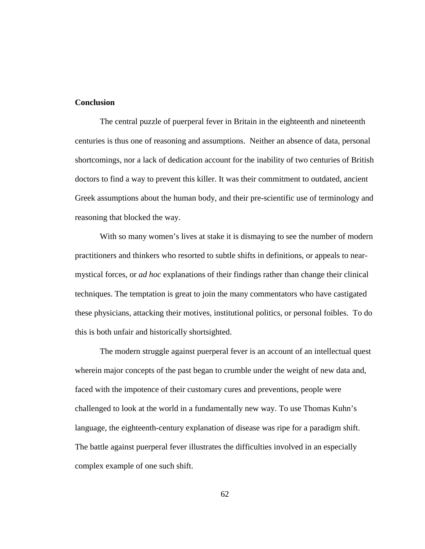# **Conclusion**

The central puzzle of puerperal fever in Britain in the eighteenth and nineteenth centuries is thus one of reasoning and assumptions. Neither an absence of data, personal shortcomings, nor a lack of dedication account for the inability of two centuries of British doctors to find a way to prevent this killer. It was their commitment to outdated, ancient Greek assumptions about the human body, and their pre-scientific use of terminology and reasoning that blocked the way.

With so many women's lives at stake it is dismaying to see the number of modern practitioners and thinkers who resorted to subtle shifts in definitions, or appeals to nearmystical forces, or *ad hoc* explanations of their findings rather than change their clinical techniques. The temptation is great to join the many commentators who have castigated these physicians, attacking their motives, institutional politics, or personal foibles. To do this is both unfair and historically shortsighted.

The modern struggle against puerperal fever is an account of an intellectual quest wherein major concepts of the past began to crumble under the weight of new data and, faced with the impotence of their customary cures and preventions, people were challenged to look at the world in a fundamentally new way. To use Thomas Kuhn's language, the eighteenth-century explanation of disease was ripe for a paradigm shift. The battle against puerperal fever illustrates the difficulties involved in an especially complex example of one such shift.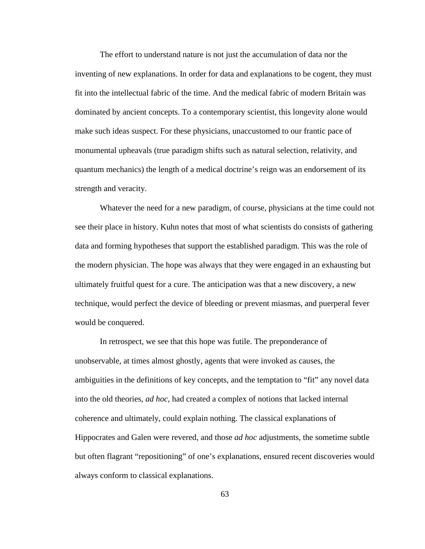The effort to understand nature is not just the accumulation of data nor the inventing of new explanations. In order for data and explanations to be cogent, they must fit into the intellectual fabric of the time. And the medical fabric of modern Britain was dominated by ancient concepts. To a contemporary scientist, this longevity alone would make such ideas suspect. For these physicians, unaccustomed to our frantic pace of monumental upheavals (true paradigm shifts such as natural selection, relativity, and quantum mechanics) the length of a medical doctrine's reign was an endorsement of its strength and veracity.

Whatever the need for a new paradigm, of course, physicians at the time could not see their place in history. Kuhn notes that most of what scientists do consists of gathering data and forming hypotheses that support the established paradigm. This was the role of the modern physician. The hope was always that they were engaged in an exhausting but ultimately fruitful quest for a cure. The anticipation was that a new discovery, a new technique, would perfect the device of bleeding or prevent miasmas, and puerperal fever would be conquered.

In retrospect, we see that this hope was futile. The preponderance of unobservable, at times almost ghostly, agents that were invoked as causes, the ambiguities in the definitions of key concepts, and the temptation to "fit" any novel data into the old theories, *ad hoc*, had created a complex of notions that lacked internal coherence and ultimately, could explain nothing. The classical explanations of Hippocrates and Galen were revered, and those *ad hoc* adjustments, the sometime subtle but often flagrant "repositioning" of one's explanations, ensured recent discoveries would always conform to classical explanations.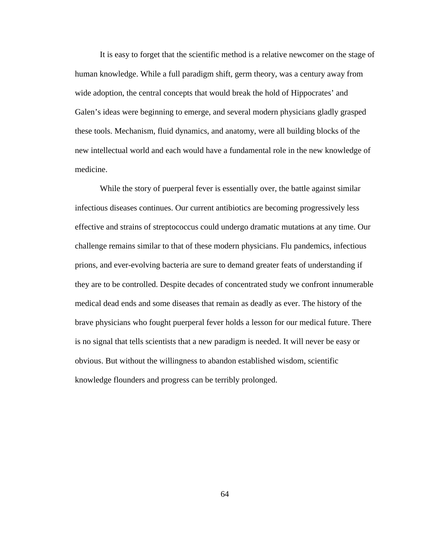It is easy to forget that the scientific method is a relative newcomer on the stage of human knowledge. While a full paradigm shift, germ theory, was a century away from wide adoption, the central concepts that would break the hold of Hippocrates' and Galen's ideas were beginning to emerge, and several modern physicians gladly grasped these tools. Mechanism, fluid dynamics, and anatomy, were all building blocks of the new intellectual world and each would have a fundamental role in the new knowledge of medicine.

While the story of puerperal fever is essentially over, the battle against similar infectious diseases continues. Our current antibiotics are becoming progressively less effective and strains of streptococcus could undergo dramatic mutations at any time. Our challenge remains similar to that of these modern physicians. Flu pandemics, infectious prions, and ever-evolving bacteria are sure to demand greater feats of understanding if they are to be controlled. Despite decades of concentrated study we confront innumerable medical dead ends and some diseases that remain as deadly as ever. The history of the brave physicians who fought puerperal fever holds a lesson for our medical future. There is no signal that tells scientists that a new paradigm is needed. It will never be easy or obvious. But without the willingness to abandon established wisdom, scientific knowledge flounders and progress can be terribly prolonged.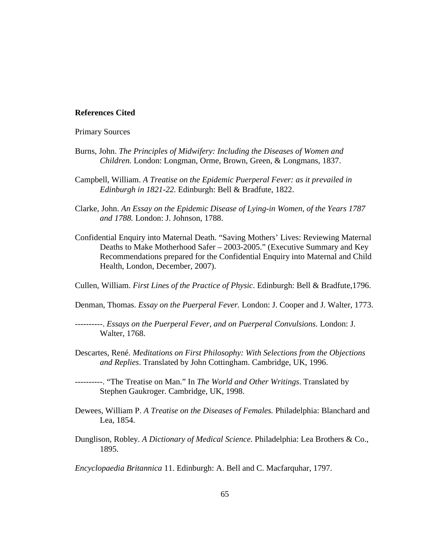#### **References Cited**

Primary Sources

- Burns, John. *The Principles of Midwifery: Including the Diseases of Women and Children.* London: Longman, Orme, Brown, Green, & Longmans, 1837.
- Campbell, William. *A Treatise on the Epidemic Puerperal Fever: as it prevailed in Edinburgh in 1821-22.* Edinburgh: Bell & Bradfute, 1822.
- Clarke, John. *An Essay on the Epidemic Disease of Lying-in Women, of the Years 1787 and 1788.* London: J. Johnson, 1788.
- Confidential Enquiry into Maternal Death. "Saving Mothers' Lives: Reviewing Maternal Deaths to Make Motherhood Safer – 2003-2005." (Executive Summary and Key Recommendations prepared for the Confidential Enquiry into Maternal and Child Health, London, December, 2007).

Cullen, William. *First Lines of the Practice of Physic.* Edinburgh: Bell & Bradfute,1796.

Denman, Thomas. *Essay on the Puerperal Fever.* London: J. Cooper and J. Walter, 1773.

----------. *Essays on the Puerperal Fever, and on Puerperal Convulsions.* London: J. Walter, 1768.

Descartes, René. *Meditations on First Philosophy: With Selections from the Objections and Replies*. Translated by John Cottingham. Cambridge, UK, 1996.

----------. "The Treatise on Man." In *The World and Other Writings*. Translated by Stephen Gaukroger. Cambridge, UK, 1998.

- Dewees, William P. *A Treatise on the Diseases of Females.* Philadelphia: Blanchard and Lea, 1854.
- Dunglison, Robley. *A Dictionary of Medical Science.* Philadelphia: Lea Brothers & Co., 1895.

*Encyclopaedia Britannica* 11. Edinburgh: A. Bell and C. Macfarquhar, 1797.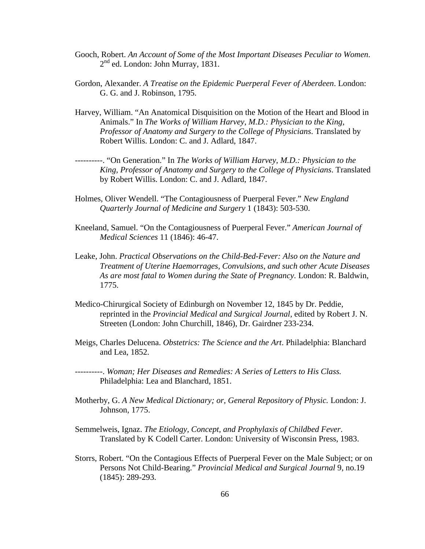- Gooch, Robert. *An Account of Some of the Most Important Diseases Peculiar to Women*. 2<sup>nd</sup> ed. London: John Murray, 1831.
- Gordon, Alexander. *A Treatise on the Epidemic Puerperal Fever of Aberdeen*. London: G. G. and J. Robinson, 1795.
- Harvey, William. "An Anatomical Disquisition on the Motion of the Heart and Blood in Animals." In *The Works of William Harvey, M.D.: Physician to the King, Professor of Anatomy and Surgery to the College of Physicians*. Translated by Robert Willis. London: C. and J. Adlard, 1847.
- ----------. "On Generation." In *The Works of William Harvey, M.D.: Physician to the King, Professor of Anatomy and Surgery to the College of Physicians*. Translated by Robert Willis. London: C. and J. Adlard, 1847.
- Holmes, Oliver Wendell. "The Contagiousness of Puerperal Fever." *New England Quarterly Journal of Medicine and Surgery* 1 (1843): 503-530.
- Kneeland, Samuel. "On the Contagiousness of Puerperal Fever." *American Journal of Medical Sciences* 11 (1846): 46-47.
- Leake, John. *Practical Observations on the Child-Bed-Fever: Also on the Nature and Treatment of Uterine Haemorrages, Convulsions, and such other Acute Diseases As are most fatal to Women during the State of Pregnancy.* London: R. Baldwin, 1775.
- Medico-Chirurgical Society of Edinburgh on November 12, 1845 by Dr. Peddie, reprinted in the *Provincial Medical and Surgical Journal,* edited by Robert J. N. Streeten (London: John Churchill, 1846), Dr. Gairdner 233-234.
- Meigs, Charles Delucena. *Obstetrics: The Science and the Art*. Philadelphia: Blanchard and Lea, 1852.
- ----------. *Woman; Her Diseases and Remedies: A Series of Letters to His Class.* Philadelphia: Lea and Blanchard, 1851.
- Motherby, G. *A New Medical Dictionary; or, General Repository of Physic.* London: J. Johnson, 1775.
- Semmelweis, Ignaz. *The Etiology, Concept, and Prophylaxis of Childbed Fever*. Translated by K Codell Carter. London: University of Wisconsin Press, 1983.
- Storrs, Robert. "On the Contagious Effects of Puerperal Fever on the Male Subject; or on Persons Not Child-Bearing." *Provincial Medical and Surgical Journal* 9, no.19 (1845): 289-293.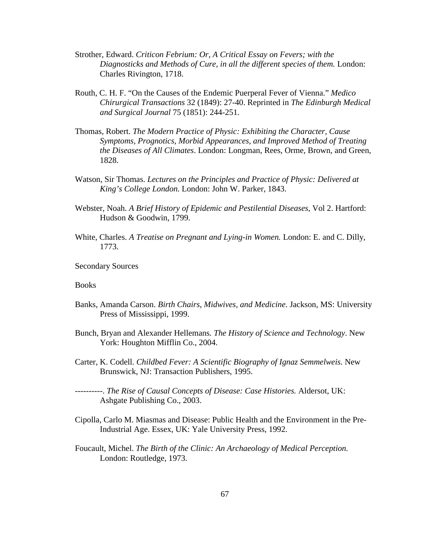- Strother, Edward. *Criticon Febrium: Or, A Critical Essay on Fevers; with the Diagnosticks and Methods of Cure, in all the different species of them.* London: Charles Rivington, 1718.
- Routh, C. H. F. "On the Causes of the Endemic Puerperal Fever of Vienna." *Medico Chirurgical Transactions* 32 (1849): 27-40. Reprinted in *The Edinburgh Medical and Surgical Journal* 75 (1851): 244-251.
- Thomas, Robert. *The Modern Practice of Physic: Exhibiting the Character, Cause Symptoms, Prognotics, Morbid Appearances, and Improved Method of Treating the Diseases of All Climates*. London: Longman, Rees, Orme, Brown, and Green, 1828.
- Watson, Sir Thomas. *Lectures on the Principles and Practice of Physic: Delivered at King's College London.* London: John W. Parker, 1843.
- Webster, Noah. *A Brief History of Epidemic and Pestilential Diseases*, Vol 2. Hartford: Hudson & Goodwin, 1799.
- White, Charles. *A Treatise on Pregnant and Lying-in Women.* London: E. and C. Dilly, 1773.

Secondary Sources

**Books** 

- Banks, Amanda Carson. *Birth Chairs, Midwives, and Medicine*. Jackson, MS: University Press of Mississippi, 1999.
- Bunch, Bryan and Alexander Hellemans*. The History of Science and Technology*. New York: Houghton Mifflin Co., 2004.
- Carter, K. Codell. *Childbed Fever: A Scientific Biography of Ignaz Semmelweis.* New Brunswick, NJ: Transaction Publishers, 1995.

----------. *The Rise of Causal Concepts of Disease: Case Histories.* Aldersot, UK: Ashgate Publishing Co., 2003.

- Cipolla, Carlo M. Miasmas and Disease: Public Health and the Environment in the Pre-Industrial Age. Essex, UK: Yale University Press, 1992.
- Foucault, Michel. *The Birth of the Clinic: An Archaeology of Medical Perception.* London: Routledge, 1973.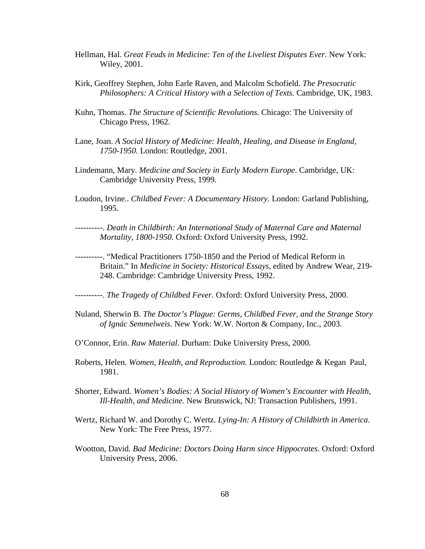- Hellman, Hal. *Great Feuds in Medicine: Ten of the Liveliest Disputes Ever*. New York: Wiley, 2001.
- Kirk, Geoffrey Stephen, John Earle Raven, and Malcolm Schofield. *The Presocratic Philosophers: A Critical History with a Selection of Texts.* Cambridge, UK, 1983.
- Kuhn, Thomas. *The Structure of Scientific Revolutions.* Chicago: The University of Chicago Press, 1962.
- Lane, Joan. *A Social History of Medicine: Health, Healing, and Disease in England, 1750-1950.* London: Routledge, 2001.
- Lindemann, Mary. *Medicine and Society in Early Modern Europe*. Cambridge, UK: Cambridge University Press, 1999.
- Loudon, Irvine.. *Childbed Fever: A Documentary History.* London: Garland Publishing, 1995.
- ----------. *Death in Childbirth: An International Study of Maternal Care and Maternal Mortality, 1800-1950.* Oxford: Oxford University Press, 1992.
- ----------. "Medical Practitioners 1750-1850 and the Period of Medical Reform in Britain." In *Medicine in Society: Historical Essays*, edited by Andrew Wear, 219- 248. Cambridge: Cambridge University Press, 1992.

----------. *The Tragedy of Childbed Fever*. Oxford: Oxford University Press, 2000.

- Nuland, Sherwin B. *The Doctor's Plague: Germs, Childbed Fever, and the Strange Story of Ignác Semmelweis.* New York: W.W. Norton & Company, Inc., 2003.
- O'Connor, Erin. *Raw Material.* Durham: Duke University Press, 2000.
- Roberts, Helen. *Women, Health, and Reproduction*. London: Routledge & Kegan Paul, 1981.
- Shorter, Edward. *Women's Bodies: A Social History of Women's Encounter with Health, Ill-Health, and Medicine*. New Brunswick, NJ: Transaction Publishers, 1991.
- Wertz, Richard W. and Dorothy C. Wertz. *Lying-In: A History of Childbirth in America*. New York: The Free Press, 1977.
- Wootton, David. *Bad Medicine: Doctors Doing Harm since Hippocrates*. Oxford: Oxford University Press, 2006.